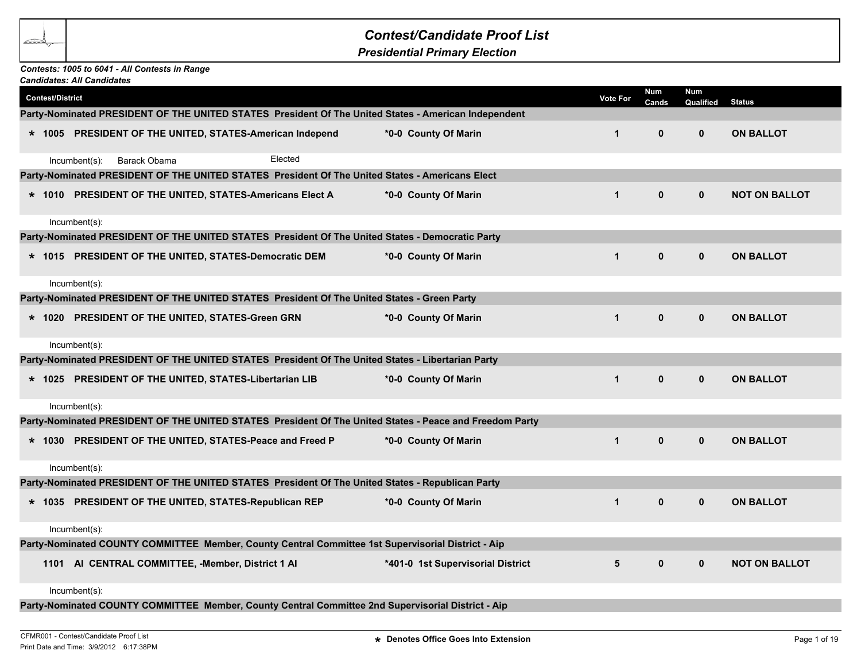## *Contest/Candidate Proof List*

*Presidential Primary Election*

## *Contests: 1005 to 6041 - All Contests in Range*

| <b>Candidates: All Candidates</b> |                  |                                                   |                                                          |                                                                                                         |                 |              |                  |                      |  |
|-----------------------------------|------------------|---------------------------------------------------|----------------------------------------------------------|---------------------------------------------------------------------------------------------------------|-----------------|--------------|------------------|----------------------|--|
| <b>Contest/District</b>           |                  |                                                   |                                                          |                                                                                                         | <b>Vote For</b> | Num<br>Cands | Num<br>Qualified | <b>Status</b>        |  |
|                                   |                  |                                                   |                                                          | Party-Nominated PRESIDENT OF THE UNITED STATES President Of The United States - American Independent    |                 |              |                  |                      |  |
|                                   |                  |                                                   | * 1005 PRESIDENT OF THE UNITED, STATES-American Independ | *0-0 County Of Marin                                                                                    | $\mathbf{1}$    | $\mathbf 0$  | $\mathbf{0}$     | <b>ON BALLOT</b>     |  |
|                                   | $Incumbent(s)$ : | Barack Obama                                      | Elected                                                  |                                                                                                         |                 |              |                  |                      |  |
|                                   |                  |                                                   |                                                          | Party-Nominated PRESIDENT OF THE UNITED STATES President Of The United States - Americans Elect         |                 |              |                  |                      |  |
|                                   |                  |                                                   | * 1010 PRESIDENT OF THE UNITED, STATES-Americans Elect A | *0-0 County Of Marin                                                                                    | $\mathbf{1}$    | $\mathbf 0$  | $\mathbf{0}$     | <b>NOT ON BALLOT</b> |  |
|                                   | $Incumbent(s)$ : |                                                   |                                                          |                                                                                                         |                 |              |                  |                      |  |
|                                   |                  |                                                   |                                                          | Party-Nominated PRESIDENT OF THE UNITED STATES President Of The United States - Democratic Party        |                 |              |                  |                      |  |
|                                   |                  |                                                   | * 1015 PRESIDENT OF THE UNITED, STATES-Democratic DEM    | *0-0 County Of Marin                                                                                    | $\mathbf{1}$    | $\mathbf 0$  | $\mathbf{0}$     | <b>ON BALLOT</b>     |  |
|                                   | Incumbent(s):    |                                                   |                                                          |                                                                                                         |                 |              |                  |                      |  |
|                                   |                  |                                                   |                                                          | Party-Nominated PRESIDENT OF THE UNITED STATES President Of The United States - Green Party             |                 |              |                  |                      |  |
|                                   |                  | * 1020 PRESIDENT OF THE UNITED, STATES-Green GRN  |                                                          | *0-0 County Of Marin                                                                                    | $\mathbf{1}$    | $\mathbf{0}$ | $\mathbf{0}$     | <b>ON BALLOT</b>     |  |
|                                   | Incumbent(s):    |                                                   |                                                          |                                                                                                         |                 |              |                  |                      |  |
|                                   |                  |                                                   |                                                          | Party-Nominated PRESIDENT OF THE UNITED STATES President Of The United States - Libertarian Party       |                 |              |                  |                      |  |
|                                   |                  |                                                   | * 1025 PRESIDENT OF THE UNITED, STATES-Libertarian LIB   | *0-0 County Of Marin                                                                                    | $\mathbf{1}$    | $\mathbf 0$  | $\mathbf 0$      | <b>ON BALLOT</b>     |  |
|                                   | Incumbent(s):    |                                                   |                                                          |                                                                                                         |                 |              |                  |                      |  |
|                                   |                  |                                                   |                                                          | Party-Nominated PRESIDENT OF THE UNITED STATES President Of The United States - Peace and Freedom Party |                 |              |                  |                      |  |
|                                   |                  |                                                   | * 1030 PRESIDENT OF THE UNITED, STATES-Peace and Freed P | *0-0 County Of Marin                                                                                    | $\mathbf{1}$    | $\mathbf{0}$ | $\mathbf{0}$     | <b>ON BALLOT</b>     |  |
|                                   | Incumbent(s):    |                                                   |                                                          |                                                                                                         |                 |              |                  |                      |  |
|                                   |                  |                                                   |                                                          | Party-Nominated PRESIDENT OF THE UNITED STATES President Of The United States - Republican Party        |                 |              |                  |                      |  |
|                                   |                  |                                                   | * 1035 PRESIDENT OF THE UNITED, STATES-Republican REP    | *0-0 County Of Marin                                                                                    | $\mathbf{1}$    | $\pmb{0}$    | $\mathbf{0}$     | <b>ON BALLOT</b>     |  |
|                                   | Incumbent(s):    |                                                   |                                                          |                                                                                                         |                 |              |                  |                      |  |
|                                   |                  |                                                   |                                                          | Party-Nominated COUNTY COMMITTEE Member, County Central Committee 1st Supervisorial District - Aip      |                 |              |                  |                      |  |
|                                   |                  | 1101 AI CENTRAL COMMITTEE, -Member, District 1 AI |                                                          | *401-0 1st Supervisorial District                                                                       | 5               | $\mathbf{0}$ | $\mathbf{0}$     | <b>NOT ON BALLOT</b> |  |
|                                   | $Incumbent(s)$ : |                                                   |                                                          |                                                                                                         |                 |              |                  |                      |  |
|                                   |                  |                                                   |                                                          | Party-Nominated COUNTY COMMITTEE Member, County Central Committee 2nd Supervisorial District - Aip      |                 |              |                  |                      |  |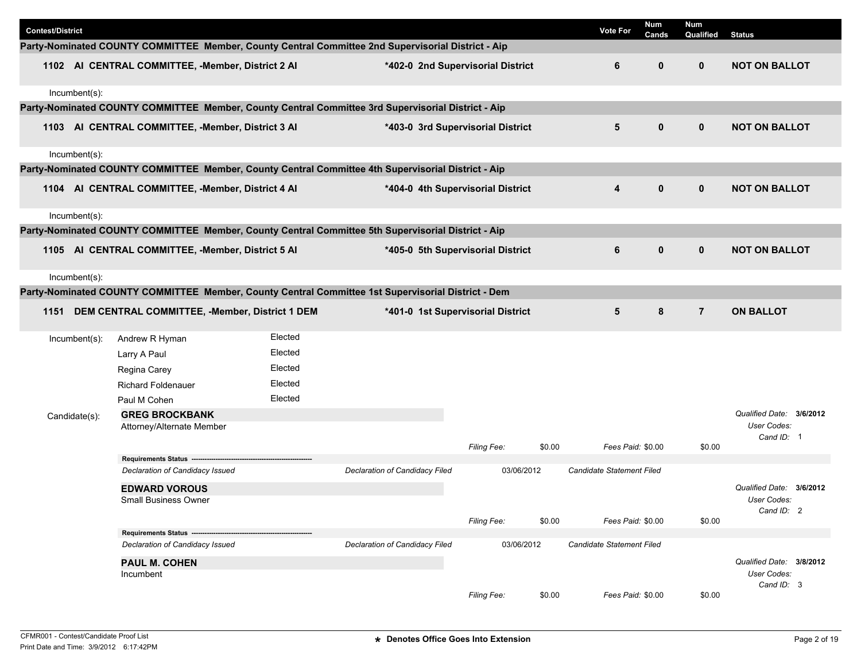| <b>Contest/District</b> |                                                            |         |                                                                                                    |                                   |        | <b>Vote For</b>           | <b>Num</b><br>Cands | Num<br>Qualified | <b>Status</b>                           |  |
|-------------------------|------------------------------------------------------------|---------|----------------------------------------------------------------------------------------------------|-----------------------------------|--------|---------------------------|---------------------|------------------|-----------------------------------------|--|
|                         |                                                            |         | Party-Nominated COUNTY COMMITTEE Member, County Central Committee 2nd Supervisorial District - Aip |                                   |        |                           |                     |                  |                                         |  |
|                         | 1102 AI CENTRAL COMMITTEE, -Member, District 2 AI          |         |                                                                                                    | *402-0 2nd Supervisorial District |        | 6                         | $\mathbf{0}$        | $\mathbf{0}$     | <b>NOT ON BALLOT</b>                    |  |
| Incumbent(s):           |                                                            |         |                                                                                                    |                                   |        |                           |                     |                  |                                         |  |
|                         |                                                            |         | Party-Nominated COUNTY COMMITTEE Member, County Central Committee 3rd Supervisorial District - Aip |                                   |        |                           |                     |                  |                                         |  |
|                         | 1103 AI CENTRAL COMMITTEE, -Member, District 3 AI          |         |                                                                                                    | *403-0 3rd Supervisorial District |        | $5\phantom{1}$            | $\mathbf 0$         | $\mathbf 0$      | <b>NOT ON BALLOT</b>                    |  |
| Incumbent(s):           |                                                            |         |                                                                                                    |                                   |        |                           |                     |                  |                                         |  |
|                         |                                                            |         | Party-Nominated COUNTY COMMITTEE Member, County Central Committee 4th Supervisorial District - Aip |                                   |        |                           |                     |                  |                                         |  |
|                         | 1104 AI CENTRAL COMMITTEE, -Member, District 4 AI          |         |                                                                                                    | *404-0 4th Supervisorial District |        | 4                         | $\mathbf 0$         | $\mathbf 0$      | <b>NOT ON BALLOT</b>                    |  |
| Incumbent(s):           |                                                            |         |                                                                                                    |                                   |        |                           |                     |                  |                                         |  |
|                         |                                                            |         | Party-Nominated COUNTY COMMITTEE Member, County Central Committee 5th Supervisorial District - Aip |                                   |        |                           |                     |                  |                                         |  |
|                         | 1105 AI CENTRAL COMMITTEE, -Member, District 5 AI          |         |                                                                                                    | *405-0 5th Supervisorial District |        | 6                         | $\mathbf 0$         | $\mathbf 0$      | <b>NOT ON BALLOT</b>                    |  |
| Incumbent(s):           |                                                            |         |                                                                                                    |                                   |        |                           |                     |                  |                                         |  |
|                         |                                                            |         | Party-Nominated COUNTY COMMITTEE Member, County Central Committee 1st Supervisorial District - Dem |                                   |        |                           |                     |                  |                                         |  |
| 1151                    | DEM CENTRAL COMMITTEE, -Member, District 1 DEM             |         |                                                                                                    | *401-0 1st Supervisorial District |        | 5                         | 8                   | $\overline{7}$   | <b>ON BALLOT</b>                        |  |
| Incumbent(s):           | Andrew R Hyman                                             | Elected |                                                                                                    |                                   |        |                           |                     |                  |                                         |  |
|                         | Larry A Paul                                               | Elected |                                                                                                    |                                   |        |                           |                     |                  |                                         |  |
|                         | Regina Carey                                               | Elected |                                                                                                    |                                   |        |                           |                     |                  |                                         |  |
|                         | <b>Richard Foldenauer</b>                                  | Elected |                                                                                                    |                                   |        |                           |                     |                  |                                         |  |
|                         | Paul M Cohen                                               | Elected |                                                                                                    |                                   |        |                           |                     |                  |                                         |  |
| Candidate(s):           | <b>GREG BROCKBANK</b>                                      |         |                                                                                                    |                                   |        |                           |                     |                  | Qualified Date: 3/6/2012<br>User Codes: |  |
|                         | Attorney/Alternate Member                                  |         |                                                                                                    |                                   |        |                           |                     |                  | Cand ID: 1                              |  |
|                         |                                                            |         |                                                                                                    | Filing Fee:                       | \$0.00 | Fees Paid: \$0.00         |                     | \$0.00           |                                         |  |
|                         | Requirements Status ---<br>Declaration of Candidacy Issued |         | Declaration of Candidacy Filed                                                                     | 03/06/2012                        |        | Candidate Statement Filed |                     |                  |                                         |  |
|                         |                                                            |         |                                                                                                    |                                   |        |                           |                     |                  | Qualified Date: 3/6/2012                |  |
|                         | <b>EDWARD VOROUS</b><br><b>Small Business Owner</b>        |         |                                                                                                    |                                   |        |                           |                     |                  | User Codes:                             |  |
|                         |                                                            |         |                                                                                                    |                                   |        |                           |                     |                  | Cand ID: 2                              |  |
|                         | Requirements Status -------------------------------        |         |                                                                                                    | Filing Fee:                       | \$0.00 | Fees Paid: \$0.00         |                     | \$0.00           |                                         |  |
|                         | Declaration of Candidacy Issued                            |         | Declaration of Candidacy Filed                                                                     | 03/06/2012                        |        | Candidate Statement Filed |                     |                  |                                         |  |
|                         | PAUL M. COHEN<br>Incumbent                                 |         |                                                                                                    |                                   |        |                           |                     |                  | Qualified Date: 3/8/2012<br>User Codes: |  |
|                         |                                                            |         |                                                                                                    | Filing Fee:                       | \$0.00 | Fees Paid: \$0.00         |                     | \$0.00           | Cand ID: 3                              |  |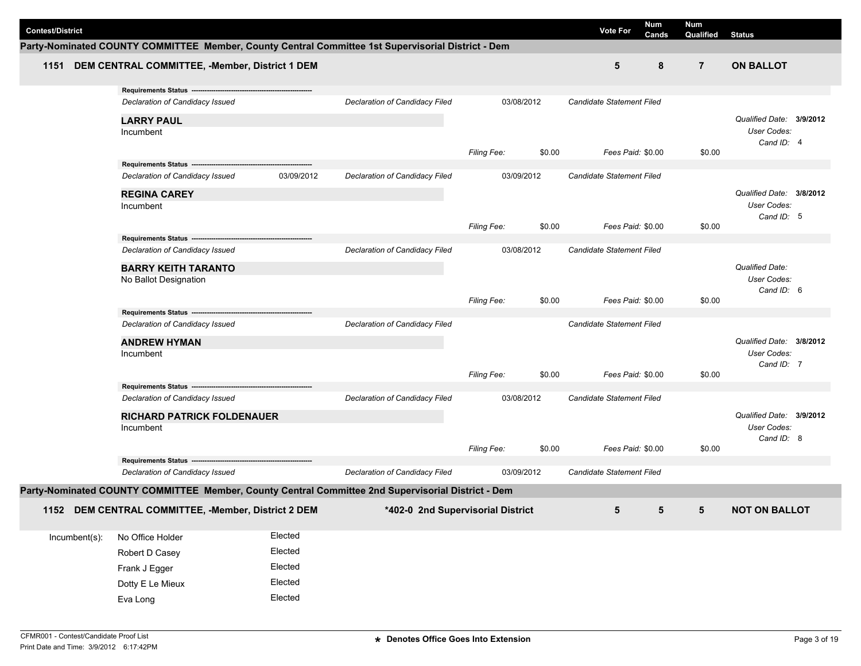| <b>Contest/District</b> |                                                                                                    |            |                                   |                    |        | <b>Vote For</b>                  | Num   | <b>Num</b>     |                          |  |
|-------------------------|----------------------------------------------------------------------------------------------------|------------|-----------------------------------|--------------------|--------|----------------------------------|-------|----------------|--------------------------|--|
|                         | Party-Nominated COUNTY COMMITTEE Member, County Central Committee 1st Supervisorial District - Dem |            |                                   |                    |        |                                  | Cands | Qualified      | <b>Status</b>            |  |
| 1151                    | DEM CENTRAL COMMITTEE, -Member, District 1 DEM                                                     |            |                                   |                    |        | 5                                | 8     | $\overline{7}$ | <b>ON BALLOT</b>         |  |
|                         |                                                                                                    |            |                                   |                    |        |                                  |       |                |                          |  |
|                         | Requirements Status ---                                                                            |            |                                   |                    |        |                                  |       |                |                          |  |
|                         | Declaration of Candidacy Issued                                                                    |            | Declaration of Candidacy Filed    | 03/08/2012         |        | Candidate Statement Filed        |       |                |                          |  |
|                         | <b>LARRY PAUL</b>                                                                                  |            |                                   |                    |        |                                  |       |                | Qualified Date: 3/9/2012 |  |
|                         | Incumbent                                                                                          |            |                                   |                    |        |                                  |       |                | User Codes:              |  |
|                         |                                                                                                    |            |                                   | Filing Fee:        | \$0.00 | Fees Paid: \$0.00                |       | \$0.00         | Cand ID: 4               |  |
|                         | Requirements Status ---------------------------------                                              |            |                                   |                    |        |                                  |       |                |                          |  |
|                         | Declaration of Candidacy Issued                                                                    | 03/09/2012 | Declaration of Candidacy Filed    | 03/09/2012         |        | <b>Candidate Statement Filed</b> |       |                |                          |  |
|                         | <b>REGINA CAREY</b>                                                                                |            |                                   |                    |        |                                  |       |                | Qualified Date: 3/8/2012 |  |
|                         | Incumbent                                                                                          |            |                                   |                    |        |                                  |       |                | User Codes:              |  |
|                         |                                                                                                    |            |                                   |                    | \$0.00 | Fees Paid: \$0.00                |       | \$0.00         | Cand ID: 5               |  |
|                         |                                                                                                    |            |                                   | <b>Filing Fee:</b> |        |                                  |       |                |                          |  |
|                         | Declaration of Candidacy Issued                                                                    |            | Declaration of Candidacy Filed    | 03/08/2012         |        | Candidate Statement Filed        |       |                |                          |  |
|                         | <b>BARRY KEITH TARANTO</b>                                                                         |            |                                   |                    |        |                                  |       |                | <b>Qualified Date:</b>   |  |
|                         | No Ballot Designation                                                                              |            |                                   |                    |        |                                  |       |                | User Codes:              |  |
|                         |                                                                                                    |            |                                   |                    |        |                                  |       |                | Cand ID: 6               |  |
|                         | Requirements Status ---                                                                            |            |                                   | Filing Fee:        | \$0.00 | Fees Paid: \$0.00                |       | \$0.00         |                          |  |
|                         | Declaration of Candidacy Issued                                                                    |            | Declaration of Candidacy Filed    |                    |        | Candidate Statement Filed        |       |                |                          |  |
|                         | <b>ANDREW HYMAN</b>                                                                                |            |                                   |                    |        |                                  |       |                | Qualified Date: 3/8/2012 |  |
|                         | Incumbent                                                                                          |            |                                   |                    |        |                                  |       |                | User Codes:              |  |
|                         |                                                                                                    |            |                                   |                    |        |                                  |       |                | Cand ID: 7               |  |
|                         |                                                                                                    |            |                                   | Filing Fee:        | \$0.00 | Fees Paid: \$0.00                |       | \$0.00         |                          |  |
|                         | Declaration of Candidacy Issued                                                                    |            | Declaration of Candidacy Filed    | 03/08/2012         |        | <b>Candidate Statement Filed</b> |       |                |                          |  |
|                         |                                                                                                    |            |                                   |                    |        |                                  |       |                | Qualified Date: 3/9/2012 |  |
|                         | <b>RICHARD PATRICK FOLDENAUER</b><br>Incumbent                                                     |            |                                   |                    |        |                                  |       |                | User Codes:              |  |
|                         |                                                                                                    |            |                                   |                    |        |                                  |       |                | Cand ID: 8               |  |
|                         |                                                                                                    |            |                                   | <b>Filing Fee:</b> | \$0.00 | Fees Paid: \$0.00                |       | \$0.00         |                          |  |
|                         | Declaration of Candidacy Issued                                                                    |            | Declaration of Candidacy Filed    | 03/09/2012         |        | <b>Candidate Statement Filed</b> |       |                |                          |  |
|                         | Party-Nominated COUNTY COMMITTEE Member, County Central Committee 2nd Supervisorial District - Dem |            |                                   |                    |        |                                  |       |                |                          |  |
|                         |                                                                                                    |            |                                   |                    |        |                                  |       |                |                          |  |
|                         | 1152 DEM CENTRAL COMMITTEE, -Member, District 2 DEM                                                |            | *402-0 2nd Supervisorial District |                    |        | 5                                | 5     | 5              | <b>NOT ON BALLOT</b>     |  |
| Incumbent(s):           | No Office Holder                                                                                   | Elected    |                                   |                    |        |                                  |       |                |                          |  |
|                         | Robert D Casey                                                                                     | Elected    |                                   |                    |        |                                  |       |                |                          |  |
|                         | Frank J Egger                                                                                      | Elected    |                                   |                    |        |                                  |       |                |                          |  |
|                         | Dotty E Le Mieux                                                                                   | Elected    |                                   |                    |        |                                  |       |                |                          |  |
|                         |                                                                                                    | Elected    |                                   |                    |        |                                  |       |                |                          |  |
|                         | Eva Long                                                                                           |            |                                   |                    |        |                                  |       |                |                          |  |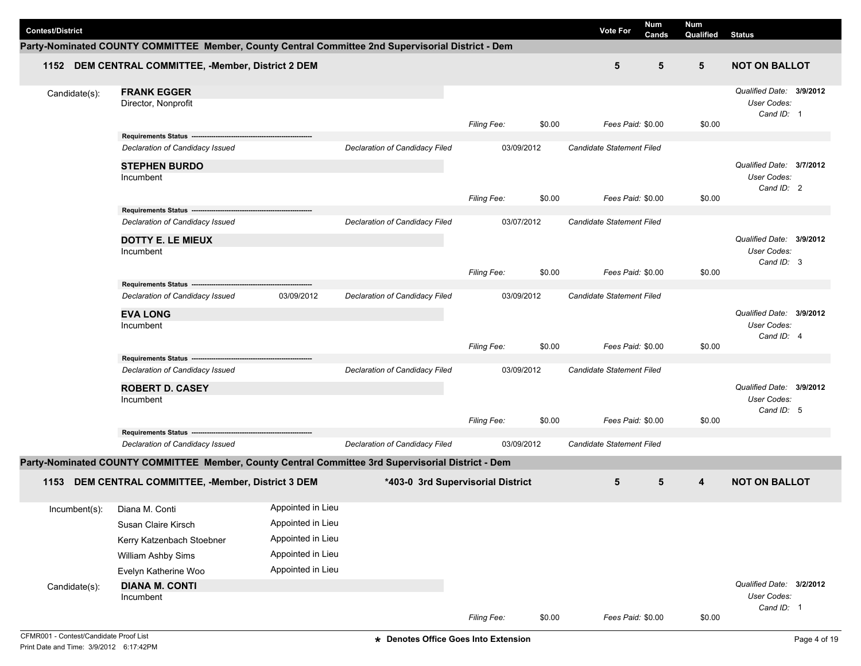| <b>Contest/District</b> |                                                                                                    |                   |                                       |             |        | <b>Vote For</b>                  | Num<br>Cands | <b>Num</b><br>Qualified | <b>Status</b>                                         |  |
|-------------------------|----------------------------------------------------------------------------------------------------|-------------------|---------------------------------------|-------------|--------|----------------------------------|--------------|-------------------------|-------------------------------------------------------|--|
|                         | Party-Nominated COUNTY COMMITTEE Member, County Central Committee 2nd Supervisorial District - Dem |                   |                                       |             |        |                                  |              |                         |                                                       |  |
|                         | 1152 DEM CENTRAL COMMITTEE, -Member, District 2 DEM                                                |                   |                                       |             |        | 5                                | 5            | 5                       | <b>NOT ON BALLOT</b>                                  |  |
| Candidate(s):           | <b>FRANK EGGER</b><br>Director, Nonprofit                                                          |                   |                                       | Filing Fee: | \$0.00 | Fees Paid: \$0.00                |              | \$0.00                  | Qualified Date: 3/9/2012<br>User Codes:<br>Cand ID: 1 |  |
|                         | Requirements Status ----                                                                           |                   |                                       |             |        |                                  |              |                         |                                                       |  |
|                         | Declaration of Candidacy Issued                                                                    |                   | Declaration of Candidacy Filed        | 03/09/2012  |        | <b>Candidate Statement Filed</b> |              |                         |                                                       |  |
|                         | <b>STEPHEN BURDO</b><br>Incumbent                                                                  |                   |                                       |             |        |                                  |              |                         | Qualified Date: 3/7/2012<br>User Codes:<br>Cand ID: 2 |  |
|                         |                                                                                                    |                   |                                       | Filing Fee: | \$0.00 | Fees Paid: \$0.00                |              | \$0.00                  |                                                       |  |
|                         | Declaration of Candidacy Issued                                                                    |                   | Declaration of Candidacy Filed        | 03/07/2012  |        | Candidate Statement Filed        |              |                         |                                                       |  |
|                         | <b>DOTTY E. LE MIEUX</b><br>Incumbent                                                              |                   |                                       |             |        |                                  |              |                         | Qualified Date: 3/9/2012<br>User Codes:<br>Cand ID: 3 |  |
|                         |                                                                                                    |                   |                                       | Filing Fee: | \$0.00 | Fees Paid: \$0.00                |              | \$0.00                  |                                                       |  |
|                         | Requirements Status ---------------<br>Declaration of Candidacy Issued                             | 03/09/2012        | <b>Declaration of Candidacy Filed</b> | 03/09/2012  |        | Candidate Statement Filed        |              |                         |                                                       |  |
|                         |                                                                                                    |                   |                                       |             |        |                                  |              |                         |                                                       |  |
|                         | <b>EVA LONG</b><br>Incumbent                                                                       |                   |                                       |             |        |                                  |              |                         | Qualified Date: 3/9/2012<br>User Codes:<br>Cand ID: 4 |  |
|                         |                                                                                                    |                   |                                       | Filing Fee: | \$0.00 | Fees Paid: \$0.00                |              | \$0.00                  |                                                       |  |
|                         | Requirements Status --------------------------------<br>Declaration of Candidacy Issued            |                   | Declaration of Candidacy Filed        | 03/09/2012  |        | <b>Candidate Statement Filed</b> |              |                         |                                                       |  |
|                         | <b>ROBERT D. CASEY</b>                                                                             |                   |                                       |             |        |                                  |              |                         | Qualified Date: 3/9/2012                              |  |
|                         | Incumbent                                                                                          |                   |                                       | Filing Fee: | \$0.00 | Fees Paid: \$0.00                |              | \$0.00                  | User Codes:<br>Cand ID: 5                             |  |
|                         |                                                                                                    |                   |                                       |             |        |                                  |              |                         |                                                       |  |
|                         | Declaration of Candidacy Issued                                                                    |                   | Declaration of Candidacy Filed        | 03/09/2012  |        | Candidate Statement Filed        |              |                         |                                                       |  |
|                         | Party-Nominated COUNTY COMMITTEE Member, County Central Committee 3rd Supervisorial District - Dem |                   |                                       |             |        |                                  |              |                         |                                                       |  |
| 1153                    | DEM CENTRAL COMMITTEE, -Member, District 3 DEM                                                     |                   | *403-0 3rd Supervisorial District     |             |        | 5                                | 5            | $\overline{4}$          | <b>NOT ON BALLOT</b>                                  |  |
| Incumbent(s):           | Diana M. Conti                                                                                     | Appointed in Lieu |                                       |             |        |                                  |              |                         |                                                       |  |
|                         | Susan Claire Kirsch                                                                                | Appointed in Lieu |                                       |             |        |                                  |              |                         |                                                       |  |
|                         | Kerry Katzenbach Stoebner                                                                          | Appointed in Lieu |                                       |             |        |                                  |              |                         |                                                       |  |
|                         | William Ashby Sims                                                                                 | Appointed in Lieu |                                       |             |        |                                  |              |                         |                                                       |  |
|                         | Evelyn Katherine Woo                                                                               | Appointed in Lieu |                                       |             |        |                                  |              |                         |                                                       |  |
| Candidate(s):           | <b>DIANA M. CONTI</b>                                                                              |                   |                                       |             |        |                                  |              |                         | Qualified Date: 3/2/2012                              |  |
|                         | Incumbent                                                                                          |                   |                                       |             |        |                                  |              |                         | User Codes:                                           |  |
|                         |                                                                                                    |                   |                                       | Filing Fee: | \$0.00 | Fees Paid: \$0.00                |              | \$0.00                  | Cand ID: 1                                            |  |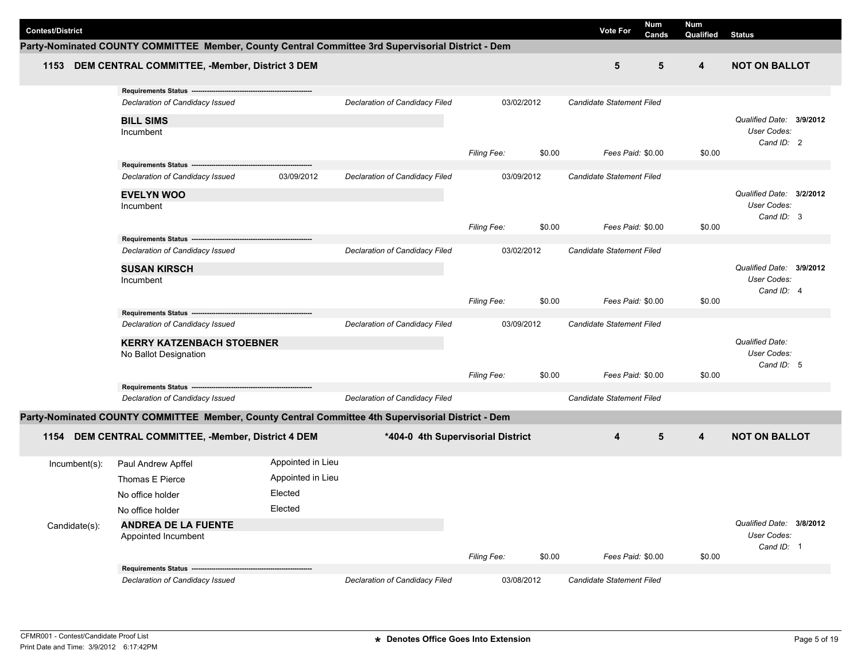| <b>Contest/District</b> |                                                                                                    |                   |                                   |                    |        | <b>Vote For</b>           | Num<br>Cands | Num<br>Qualified | <b>Status</b>                           |
|-------------------------|----------------------------------------------------------------------------------------------------|-------------------|-----------------------------------|--------------------|--------|---------------------------|--------------|------------------|-----------------------------------------|
|                         | Party-Nominated COUNTY COMMITTEE Member, County Central Committee 3rd Supervisorial District - Dem |                   |                                   |                    |        |                           |              |                  |                                         |
|                         | 1153 DEM CENTRAL COMMITTEE, -Member, District 3 DEM                                                |                   |                                   |                    |        | 5                         | 5            | 4                | <b>NOT ON BALLOT</b>                    |
|                         | Requirements Status -------                                                                        |                   |                                   |                    |        |                           |              |                  |                                         |
|                         | Declaration of Candidacy Issued                                                                    |                   | Declaration of Candidacy Filed    | 03/02/2012         |        | Candidate Statement Filed |              |                  |                                         |
|                         | <b>BILL SIMS</b>                                                                                   |                   |                                   |                    |        |                           |              |                  | Qualified Date: 3/9/2012                |
|                         | Incumbent                                                                                          |                   |                                   |                    |        |                           |              |                  | User Codes:                             |
|                         |                                                                                                    |                   |                                   |                    |        |                           |              |                  | Cand ID: 2                              |
|                         | Requirements Status -----------------------                                                        |                   |                                   | Filing Fee:        | \$0.00 | Fees Paid: \$0.00         |              | \$0.00           |                                         |
|                         | Declaration of Candidacy Issued                                                                    | 03/09/2012        | Declaration of Candidacy Filed    | 03/09/2012         |        | Candidate Statement Filed |              |                  |                                         |
|                         |                                                                                                    |                   |                                   |                    |        |                           |              |                  |                                         |
|                         | <b>EVELYN WOO</b>                                                                                  |                   |                                   |                    |        |                           |              |                  | Qualified Date: 3/2/2012<br>User Codes: |
|                         | Incumbent                                                                                          |                   |                                   |                    |        |                           |              |                  | Cand ID: 3                              |
|                         |                                                                                                    |                   |                                   | <b>Filing Fee:</b> | \$0.00 | Fees Paid: \$0.00         |              | \$0.00           |                                         |
|                         |                                                                                                    |                   |                                   |                    |        |                           |              |                  |                                         |
|                         | Declaration of Candidacy Issued                                                                    |                   | Declaration of Candidacy Filed    | 03/02/2012         |        | Candidate Statement Filed |              |                  |                                         |
|                         | <b>SUSAN KIRSCH</b>                                                                                |                   |                                   |                    |        |                           |              |                  | Qualified Date: 3/9/2012                |
|                         | Incumbent                                                                                          |                   |                                   |                    |        |                           |              |                  | User Codes:                             |
|                         |                                                                                                    |                   |                                   | <b>Filing Fee:</b> | \$0.00 | Fees Paid: \$0.00         |              | \$0.00           | Cand ID: 4                              |
|                         | Requirements Status ---                                                                            |                   |                                   |                    |        |                           |              |                  |                                         |
|                         | Declaration of Candidacy Issued                                                                    |                   | Declaration of Candidacy Filed    | 03/09/2012         |        | Candidate Statement Filed |              |                  |                                         |
|                         | <b>KERRY KATZENBACH STOEBNER</b>                                                                   |                   |                                   |                    |        |                           |              |                  | <b>Qualified Date:</b>                  |
|                         | No Ballot Designation                                                                              |                   |                                   |                    |        |                           |              |                  | User Codes:                             |
|                         |                                                                                                    |                   |                                   |                    |        |                           |              |                  | Cand ID: 5                              |
|                         | Requirements Status ---                                                                            |                   |                                   | <b>Filing Fee:</b> | \$0.00 | Fees Paid: \$0.00         |              | \$0.00           |                                         |
|                         | Declaration of Candidacy Issued                                                                    |                   | Declaration of Candidacy Filed    |                    |        | Candidate Statement Filed |              |                  |                                         |
|                         |                                                                                                    |                   |                                   |                    |        |                           |              |                  |                                         |
|                         | Party-Nominated COUNTY COMMITTEE Member, County Central Committee 4th Supervisorial District - Dem |                   |                                   |                    |        |                           |              |                  |                                         |
| 1154                    | DEM CENTRAL COMMITTEE, -Member, District 4 DEM                                                     |                   | *404-0 4th Supervisorial District |                    |        | $\overline{\mathbf{4}}$   | 5            | 4                | <b>NOT ON BALLOT</b>                    |
| Incumbent(s):           | Paul Andrew Apffel                                                                                 | Appointed in Lieu |                                   |                    |        |                           |              |                  |                                         |
|                         | Thomas E Pierce                                                                                    | Appointed in Lieu |                                   |                    |        |                           |              |                  |                                         |
|                         | No office holder                                                                                   | Elected           |                                   |                    |        |                           |              |                  |                                         |
|                         | No office holder                                                                                   | Elected           |                                   |                    |        |                           |              |                  |                                         |
| Candidate(s):           | <b>ANDREA DE LA FUENTE</b>                                                                         |                   |                                   |                    |        |                           |              |                  | Qualified Date: 3/8/2012                |
|                         | Appointed Incumbent                                                                                |                   |                                   |                    |        |                           |              |                  | User Codes:                             |
|                         |                                                                                                    |                   |                                   |                    |        |                           |              |                  | Cand ID: 1                              |
|                         |                                                                                                    |                   |                                   | Filing Fee:        | \$0.00 | Fees Paid: \$0.00         |              | \$0.00           |                                         |
|                         | Requirements Status -------<br>Declaration of Candidacy Issued                                     |                   | Declaration of Candidacy Filed    | 03/08/2012         |        | Candidate Statement Filed |              |                  |                                         |
|                         |                                                                                                    |                   |                                   |                    |        |                           |              |                  |                                         |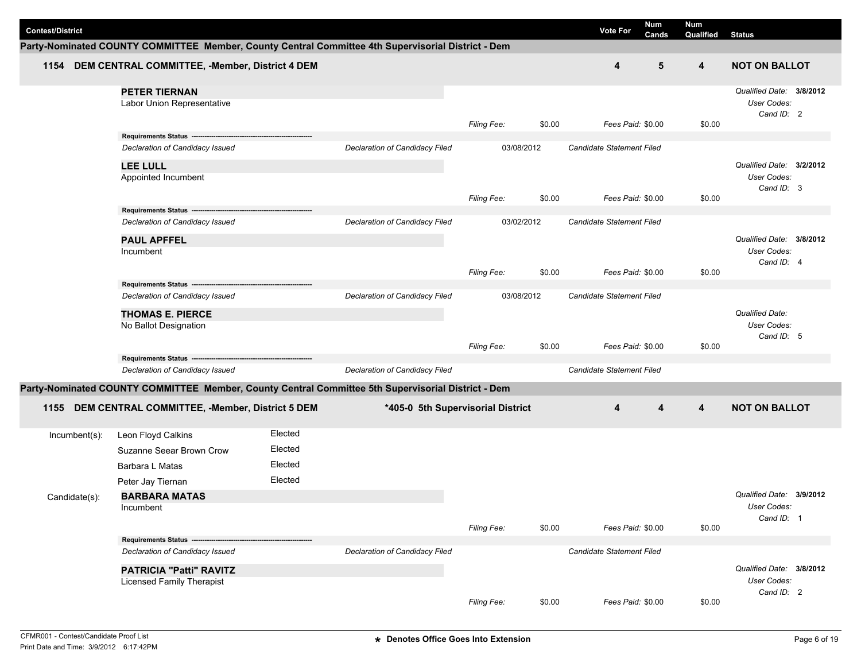| <b>Contest/District</b> |                                                                                                    |         |                                   |                    |            | Num<br><b>Vote For</b><br>Cands | Num<br>Qualified | <b>Status</b>            |
|-------------------------|----------------------------------------------------------------------------------------------------|---------|-----------------------------------|--------------------|------------|---------------------------------|------------------|--------------------------|
|                         | Party-Nominated COUNTY COMMITTEE Member, County Central Committee 4th Supervisorial District - Dem |         |                                   |                    |            |                                 |                  |                          |
| 1154                    | DEM CENTRAL COMMITTEE, -Member, District 4 DEM                                                     |         |                                   |                    |            | 4                               | 5<br>4           | <b>NOT ON BALLOT</b>     |
|                         | <b>PETER TIERNAN</b>                                                                               |         |                                   |                    |            |                                 |                  | Qualified Date: 3/8/2012 |
|                         | Labor Union Representative                                                                         |         |                                   |                    |            |                                 |                  | User Codes:              |
|                         |                                                                                                    |         |                                   |                    |            |                                 |                  | Cand ID: 2               |
|                         | Requirements Status ------                                                                         |         |                                   | Filing Fee:        | \$0.00     | Fees Paid: \$0.00               | \$0.00           |                          |
|                         | Declaration of Candidacy Issued                                                                    |         | Declaration of Candidacy Filed    |                    | 03/08/2012 | Candidate Statement Filed       |                  |                          |
|                         | <b>LEE LULL</b>                                                                                    |         |                                   |                    |            |                                 |                  | Qualified Date: 3/2/2012 |
|                         | Appointed Incumbent                                                                                |         |                                   |                    |            |                                 |                  | User Codes:              |
|                         |                                                                                                    |         |                                   |                    |            |                                 |                  | Cand ID: 3               |
|                         | Requirements Status ---                                                                            |         |                                   | <b>Filing Fee:</b> | \$0.00     | Fees Paid: \$0.00               | \$0.00           |                          |
|                         | Declaration of Candidacy Issued                                                                    |         | Declaration of Candidacy Filed    |                    | 03/02/2012 | Candidate Statement Filed       |                  |                          |
|                         | <b>PAUL APFFEL</b>                                                                                 |         |                                   |                    |            |                                 |                  | Qualified Date: 3/8/2012 |
|                         | Incumbent                                                                                          |         |                                   |                    |            |                                 |                  | User Codes:              |
|                         |                                                                                                    |         |                                   |                    |            |                                 |                  | Cand ID: 4               |
|                         | Requirements Status ---                                                                            |         |                                   | Filing Fee:        | \$0.00     | Fees Paid: \$0.00               | \$0.00           |                          |
|                         | Declaration of Candidacy Issued                                                                    |         | Declaration of Candidacy Filed    |                    | 03/08/2012 | Candidate Statement Filed       |                  |                          |
|                         | <b>THOMAS E. PIERCE</b>                                                                            |         |                                   |                    |            |                                 |                  | <b>Qualified Date:</b>   |
|                         | No Ballot Designation                                                                              |         |                                   |                    |            |                                 |                  | User Codes:              |
|                         |                                                                                                    |         |                                   |                    |            |                                 |                  | Cand ID: 5               |
|                         | Requirements Status -------                                                                        |         |                                   | Filing Fee:        | \$0.00     | Fees Paid: \$0.00               | \$0.00           |                          |
|                         | Declaration of Candidacy Issued                                                                    |         | Declaration of Candidacy Filed    |                    |            | Candidate Statement Filed       |                  |                          |
|                         | Party-Nominated COUNTY COMMITTEE Member, County Central Committee 5th Supervisorial District - Dem |         |                                   |                    |            |                                 |                  |                          |
|                         |                                                                                                    |         |                                   |                    |            |                                 |                  |                          |
| 1155                    | DEM CENTRAL COMMITTEE, -Member, District 5 DEM                                                     |         | *405-0 5th Supervisorial District |                    |            | 4<br>4                          | 4                | <b>NOT ON BALLOT</b>     |
| $Incumbent(s)$ :        | Leon Floyd Calkins                                                                                 | Elected |                                   |                    |            |                                 |                  |                          |
|                         | Suzanne Seear Brown Crow                                                                           | Elected |                                   |                    |            |                                 |                  |                          |
|                         | Barbara L Matas                                                                                    | Elected |                                   |                    |            |                                 |                  |                          |
|                         | Peter Jay Tiernan                                                                                  | Elected |                                   |                    |            |                                 |                  |                          |
| Candidate(s):           | <b>BARBARA MATAS</b>                                                                               |         |                                   |                    |            |                                 |                  | Qualified Date: 3/9/2012 |
|                         | Incumbent                                                                                          |         |                                   |                    |            |                                 |                  | User Codes:              |
|                         |                                                                                                    |         |                                   | Filing Fee:        | \$0.00     | Fees Paid: \$0.00               | \$0.00           | Cand ID: 1               |
|                         | Requirements Status ----                                                                           |         |                                   |                    |            |                                 |                  |                          |
|                         | Declaration of Candidacy Issued                                                                    |         | Declaration of Candidacy Filed    |                    |            | Candidate Statement Filed       |                  |                          |
|                         | PATRICIA "Patti" RAVITZ                                                                            |         |                                   |                    |            |                                 |                  | Qualified Date: 3/8/2012 |
|                         | Licensed Family Therapist                                                                          |         |                                   |                    |            |                                 |                  | User Codes:              |
|                         |                                                                                                    |         |                                   | Filing Fee:        | \$0.00     | Fees Paid: \$0.00               | \$0.00           | Cand ID: 2               |
|                         |                                                                                                    |         |                                   |                    |            |                                 |                  |                          |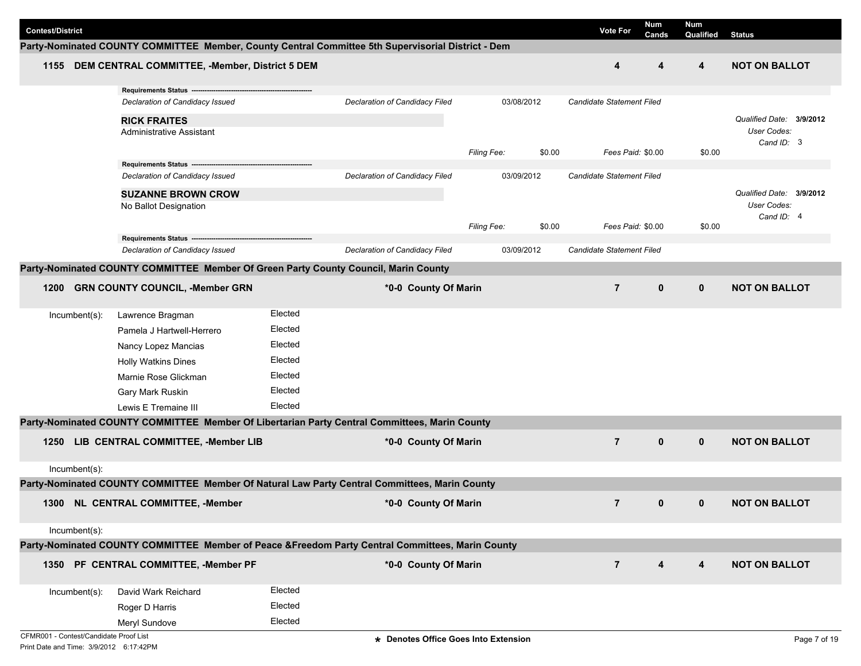| <b>Contest/District</b>                |               |                                                                                                    |         |                                       |                    |            | <b>Vote For</b>                  | <b>Num</b><br>Cands | Num<br>Qualified | <b>Status</b>            |
|----------------------------------------|---------------|----------------------------------------------------------------------------------------------------|---------|---------------------------------------|--------------------|------------|----------------------------------|---------------------|------------------|--------------------------|
|                                        |               | Party-Nominated COUNTY COMMITTEE Member, County Central Committee 5th Supervisorial District - Dem |         |                                       |                    |            |                                  |                     |                  |                          |
|                                        |               | 1155 DEM CENTRAL COMMITTEE, -Member, District 5 DEM                                                |         |                                       |                    |            | 4                                | 4                   | 4                | <b>NOT ON BALLOT</b>     |
|                                        |               | Requirements Status ----                                                                           |         |                                       |                    |            |                                  |                     |                  |                          |
|                                        |               | Declaration of Candidacy Issued                                                                    |         | Declaration of Candidacy Filed        |                    | 03/08/2012 | Candidate Statement Filed        |                     |                  |                          |
|                                        |               | <b>RICK FRAITES</b>                                                                                |         |                                       |                    |            |                                  |                     |                  | Qualified Date: 3/9/2012 |
|                                        |               | Administrative Assistant                                                                           |         |                                       |                    |            |                                  |                     |                  | User Codes:              |
|                                        |               |                                                                                                    |         |                                       | Filing Fee:        | \$0.00     | Fees Paid: \$0.00                |                     | \$0.00           | Cand ID: 3               |
|                                        |               | Requirements Status -----------------------------------                                            |         |                                       |                    |            |                                  |                     |                  |                          |
|                                        |               | Declaration of Candidacy Issued                                                                    |         | Declaration of Candidacy Filed        |                    | 03/09/2012 | <b>Candidate Statement Filed</b> |                     |                  |                          |
|                                        |               | <b>SUZANNE BROWN CROW</b>                                                                          |         |                                       |                    |            |                                  |                     |                  | Qualified Date: 3/9/2012 |
|                                        |               | No Ballot Designation                                                                              |         |                                       |                    |            |                                  |                     |                  | User Codes:              |
|                                        |               |                                                                                                    |         |                                       | <b>Filing Fee:</b> | \$0.00     | Fees Paid: \$0.00                |                     | \$0.00           | Cand ID: 4               |
|                                        |               | Requirements Status ---------------------------                                                    |         |                                       |                    |            |                                  |                     |                  |                          |
|                                        |               | Declaration of Candidacy Issued                                                                    |         | <b>Declaration of Candidacy Filed</b> |                    | 03/09/2012 | Candidate Statement Filed        |                     |                  |                          |
|                                        |               | Party-Nominated COUNTY COMMITTEE Member Of Green Party County Council, Marin County                |         |                                       |                    |            |                                  |                     |                  |                          |
| 1200                                   |               | <b>GRN COUNTY COUNCIL, -Member GRN</b>                                                             |         | *0-0 County Of Marin                  |                    |            | $\overline{7}$                   | $\mathbf 0$         | $\mathbf{0}$     | <b>NOT ON BALLOT</b>     |
|                                        | Incumbent(s): | Lawrence Bragman                                                                                   | Elected |                                       |                    |            |                                  |                     |                  |                          |
|                                        |               | Pamela J Hartwell-Herrero                                                                          | Elected |                                       |                    |            |                                  |                     |                  |                          |
|                                        |               | Nancy Lopez Mancias                                                                                | Elected |                                       |                    |            |                                  |                     |                  |                          |
|                                        |               | <b>Holly Watkins Dines</b>                                                                         | Elected |                                       |                    |            |                                  |                     |                  |                          |
|                                        |               | Marnie Rose Glickman                                                                               | Elected |                                       |                    |            |                                  |                     |                  |                          |
|                                        |               |                                                                                                    | Elected |                                       |                    |            |                                  |                     |                  |                          |
|                                        |               | Gary Mark Ruskin                                                                                   |         |                                       |                    |            |                                  |                     |                  |                          |
|                                        |               | Lewis E Tremaine III                                                                               | Elected |                                       |                    |            |                                  |                     |                  |                          |
|                                        |               | Party-Nominated COUNTY COMMITTEE Member Of Libertarian Party Central Committees, Marin County      |         |                                       |                    |            |                                  |                     |                  |                          |
| 1250                                   |               | LIB CENTRAL COMMITTEE, -Member LIB                                                                 |         | *0-0 County Of Marin                  |                    |            | $\overline{7}$                   | $\mathbf 0$         | $\mathbf{0}$     | <b>NOT ON BALLOT</b>     |
|                                        | Incumbent(s): |                                                                                                    |         |                                       |                    |            |                                  |                     |                  |                          |
|                                        |               | Party-Nominated COUNTY COMMITTEE Member Of Natural Law Party Central Committees, Marin County      |         |                                       |                    |            |                                  |                     |                  |                          |
|                                        |               | 1300 NL CENTRAL COMMITTEE, -Member                                                                 |         | *0-0 County Of Marin                  |                    |            | $\overline{7}$                   | $\mathbf{0}$        | $\mathbf{0}$     | <b>NOT ON BALLOT</b>     |
|                                        | Incumbent(s): |                                                                                                    |         |                                       |                    |            |                                  |                     |                  |                          |
|                                        |               | Party-Nominated COUNTY COMMITTEE Member of Peace &Freedom Party Central Committees, Marin County   |         |                                       |                    |            |                                  |                     |                  |                          |
|                                        |               | 1350 PF CENTRAL COMMITTEE, -Member PF                                                              |         | *0-0 County Of Marin                  |                    |            | $\overline{7}$                   | 4                   | 4                | <b>NOT ON BALLOT</b>     |
|                                        |               |                                                                                                    |         |                                       |                    |            |                                  |                     |                  |                          |
|                                        | Incumbent(s): | David Wark Reichard                                                                                | Elected |                                       |                    |            |                                  |                     |                  |                          |
|                                        |               | Roger D Harris                                                                                     | Elected |                                       |                    |            |                                  |                     |                  |                          |
|                                        |               | Meryl Sundove                                                                                      | Elected |                                       |                    |            |                                  |                     |                  |                          |
| CFMR001 - Contest/Candidate Proof List |               |                                                                                                    |         | * Denotes Office Goes Into Extension  |                    |            |                                  |                     |                  | Page 7 of 19             |
|                                        |               |                                                                                                    |         |                                       |                    |            |                                  |                     |                  |                          |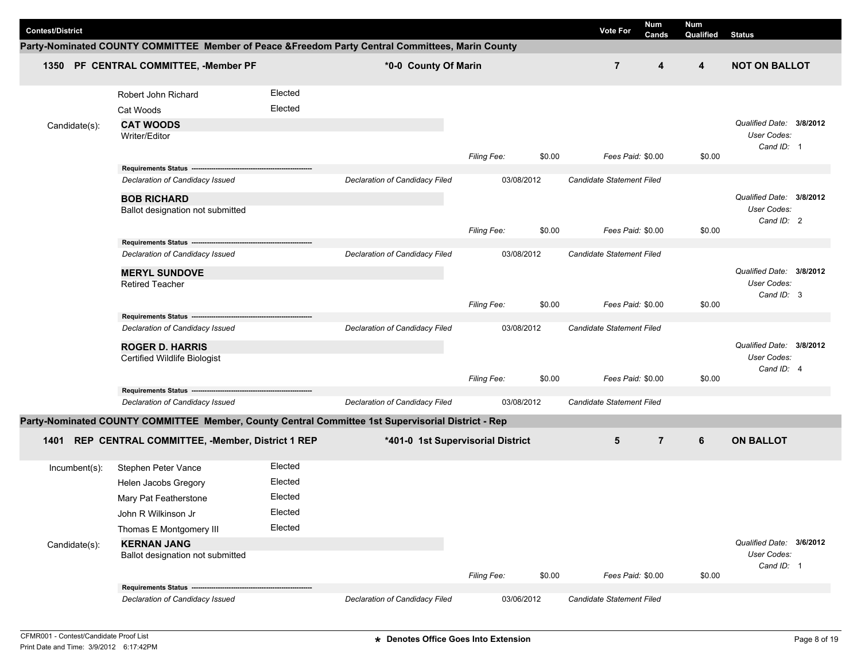|                         |                                                                                                    |         |                                   |                    |        |                           | <b>Num</b>       | <b>Num</b> |                          |  |
|-------------------------|----------------------------------------------------------------------------------------------------|---------|-----------------------------------|--------------------|--------|---------------------------|------------------|------------|--------------------------|--|
| <b>Contest/District</b> |                                                                                                    |         |                                   |                    |        | <b>Vote For</b>           | Cands            | Qualified  | <b>Status</b>            |  |
|                         | Party-Nominated COUNTY COMMITTEE Member of Peace &Freedom Party Central Committees, Marin County   |         |                                   |                    |        |                           |                  |            |                          |  |
|                         | 1350 PF CENTRAL COMMITTEE, -Member PF                                                              |         | *0-0 County Of Marin              |                    |        | $\overline{7}$            | $\boldsymbol{4}$ | 4          | <b>NOT ON BALLOT</b>     |  |
|                         | Robert John Richard                                                                                | Elected |                                   |                    |        |                           |                  |            |                          |  |
|                         | Cat Woods                                                                                          | Elected |                                   |                    |        |                           |                  |            |                          |  |
| Candidate(s):           | <b>CAT WOODS</b>                                                                                   |         |                                   |                    |        |                           |                  |            | Qualified Date: 3/8/2012 |  |
|                         | Writer/Editor                                                                                      |         |                                   |                    |        |                           |                  |            | User Codes:              |  |
|                         |                                                                                                    |         |                                   | Filing Fee:        | \$0.00 | Fees Paid: \$0.00         |                  | \$0.00     | Cand ID: 1               |  |
|                         | Requirements Status -----------------------                                                        |         |                                   |                    |        |                           |                  |            |                          |  |
|                         | Declaration of Candidacy Issued                                                                    |         | Declaration of Candidacy Filed    | 03/08/2012         |        | Candidate Statement Filed |                  |            |                          |  |
|                         | <b>BOB RICHARD</b>                                                                                 |         |                                   |                    |        |                           |                  |            | Qualified Date: 3/8/2012 |  |
|                         | Ballot designation not submitted                                                                   |         |                                   |                    |        |                           |                  |            | User Codes:              |  |
|                         |                                                                                                    |         |                                   | Filing Fee:        | \$0.00 | Fees Paid: \$0.00         |                  | \$0.00     | Cand ID: 2               |  |
|                         |                                                                                                    |         |                                   |                    |        |                           |                  |            |                          |  |
|                         | Declaration of Candidacy Issued                                                                    |         | Declaration of Candidacy Filed    | 03/08/2012         |        | Candidate Statement Filed |                  |            |                          |  |
|                         | <b>MERYL SUNDOVE</b>                                                                               |         |                                   |                    |        |                           |                  |            | Qualified Date: 3/8/2012 |  |
|                         | <b>Retired Teacher</b>                                                                             |         |                                   |                    |        |                           |                  |            | User Codes:              |  |
|                         |                                                                                                    |         |                                   | <b>Filing Fee:</b> | \$0.00 | Fees Paid: \$0.00         |                  | \$0.00     | Cand ID: 3               |  |
|                         | Requirements Status ------                                                                         |         |                                   |                    |        |                           |                  |            |                          |  |
|                         | Declaration of Candidacy Issued                                                                    |         | Declaration of Candidacy Filed    | 03/08/2012         |        | Candidate Statement Filed |                  |            |                          |  |
|                         | <b>ROGER D. HARRIS</b>                                                                             |         |                                   |                    |        |                           |                  |            | Qualified Date: 3/8/2012 |  |
|                         | Certified Wildlife Biologist                                                                       |         |                                   |                    |        |                           |                  |            | User Codes:              |  |
|                         |                                                                                                    |         |                                   | Filing Fee:        | \$0.00 | Fees Paid: \$0.00         |                  | \$0.00     | Cand ID: 4               |  |
|                         | <b>Requirements Status --</b>                                                                      |         |                                   |                    |        |                           |                  |            |                          |  |
|                         | Declaration of Candidacy Issued                                                                    |         | Declaration of Candidacy Filed    | 03/08/2012         |        | Candidate Statement Filed |                  |            |                          |  |
|                         | Party-Nominated COUNTY COMMITTEE Member, County Central Committee 1st Supervisorial District - Rep |         |                                   |                    |        |                           |                  |            |                          |  |
| 1401                    | REP CENTRAL COMMITTEE, -Member, District 1 REP                                                     |         | *401-0 1st Supervisorial District |                    |        | 5                         | $\overline{7}$   | 6          | <b>ON BALLOT</b>         |  |
| $lncumbent(s)$ :        | Stephen Peter Vance                                                                                | Elected |                                   |                    |        |                           |                  |            |                          |  |
|                         | Helen Jacobs Gregory                                                                               | Elected |                                   |                    |        |                           |                  |            |                          |  |
|                         | Mary Pat Featherstone                                                                              | Elected |                                   |                    |        |                           |                  |            |                          |  |
|                         | John R Wilkinson Jr                                                                                | Elected |                                   |                    |        |                           |                  |            |                          |  |
|                         | Thomas E Montgomery III                                                                            | Elected |                                   |                    |        |                           |                  |            |                          |  |
| Candidate(s):           | <b>KERNAN JANG</b>                                                                                 |         |                                   |                    |        |                           |                  |            | Qualified Date: 3/6/2012 |  |
|                         | Ballot designation not submitted                                                                   |         |                                   |                    |        |                           |                  |            | User Codes:              |  |
|                         |                                                                                                    |         |                                   | Filing Fee:        | \$0.00 | Fees Paid: \$0.00         |                  | \$0.00     | Cand ID: 1               |  |
|                         | Requirements Status ------------------------------                                                 |         |                                   |                    |        |                           |                  |            |                          |  |
|                         | Declaration of Candidacy Issued                                                                    |         | Declaration of Candidacy Filed    | 03/06/2012         |        | Candidate Statement Filed |                  |            |                          |  |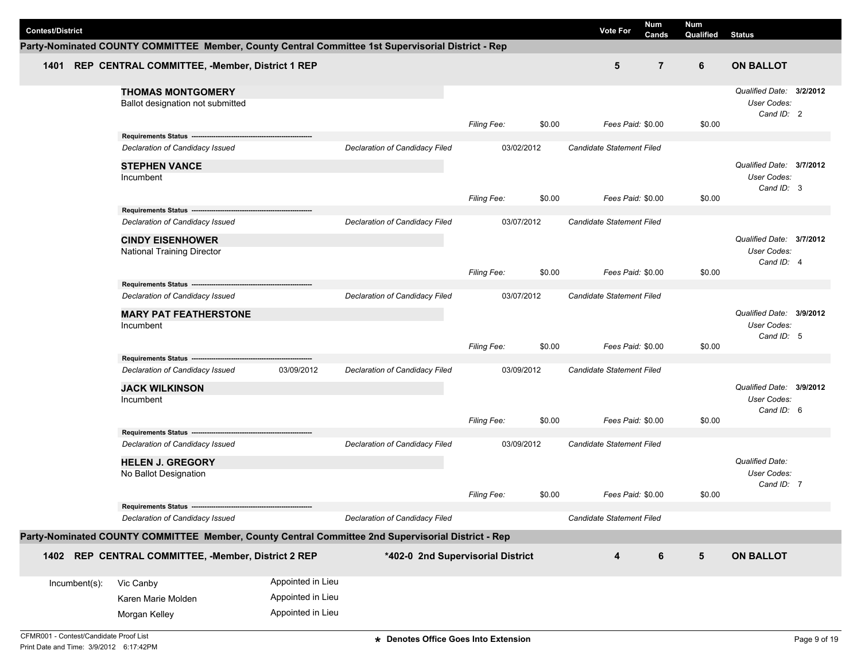|                         |                                                                                                    |                   |                                |                                   |        |                                  | Num            | Num       |                                                       |  |
|-------------------------|----------------------------------------------------------------------------------------------------|-------------------|--------------------------------|-----------------------------------|--------|----------------------------------|----------------|-----------|-------------------------------------------------------|--|
| <b>Contest/District</b> |                                                                                                    |                   |                                |                                   |        | <b>Vote For</b>                  | Cands          | Qualified | <b>Status</b>                                         |  |
|                         | Party-Nominated COUNTY COMMITTEE Member, County Central Committee 1st Supervisorial District - Rep |                   |                                |                                   |        |                                  |                |           |                                                       |  |
|                         | 1401 REP CENTRAL COMMITTEE, -Member, District 1 REP                                                |                   |                                |                                   |        | 5                                | $\overline{7}$ | 6         | <b>ON BALLOT</b>                                      |  |
|                         | <b>THOMAS MONTGOMERY</b><br>Ballot designation not submitted                                       |                   |                                | Filing Fee:                       | \$0.00 | Fees Paid: \$0.00                |                | \$0.00    | Qualified Date: 3/2/2012<br>User Codes:<br>Cand ID: 2 |  |
|                         | Requirements Status ------------------------                                                       |                   |                                |                                   |        |                                  |                |           |                                                       |  |
|                         | Declaration of Candidacy Issued                                                                    |                   | Declaration of Candidacy Filed | 03/02/2012                        |        | Candidate Statement Filed        |                |           |                                                       |  |
|                         | <b>STEPHEN VANCE</b><br>Incumbent                                                                  |                   |                                |                                   |        |                                  |                |           | Qualified Date: 3/7/2012<br>User Codes:<br>Cand ID: 3 |  |
|                         |                                                                                                    |                   |                                | Filing Fee:                       | \$0.00 | Fees Paid: \$0.00                |                | \$0.00    |                                                       |  |
|                         | Declaration of Candidacy Issued                                                                    |                   | Declaration of Candidacy Filed | 03/07/2012                        |        | Candidate Statement Filed        |                |           |                                                       |  |
|                         | <b>CINDY EISENHOWER</b><br><b>National Training Director</b>                                       |                   |                                |                                   |        |                                  |                |           | Qualified Date: 3/7/2012<br>User Codes:<br>Cand ID: 4 |  |
|                         |                                                                                                    |                   |                                | <b>Filing Fee:</b>                | \$0.00 | Fees Paid: \$0.00                |                | \$0.00    |                                                       |  |
|                         | Requirements Status ----------------------------<br>Declaration of Candidacy Issued                |                   | Declaration of Candidacy Filed | 03/07/2012                        |        | <b>Candidate Statement Filed</b> |                |           |                                                       |  |
|                         | <b>MARY PAT FEATHERSTONE</b><br>Incumbent                                                          |                   |                                |                                   |        |                                  |                |           | Qualified Date: 3/9/2012<br>User Codes:<br>Cand ID: 5 |  |
|                         |                                                                                                    |                   |                                | Filing Fee:                       | \$0.00 | Fees Paid: \$0.00                |                | \$0.00    |                                                       |  |
|                         | Requirements Status --------------------<br>Declaration of Candidacy Issued                        | 03/09/2012        | Declaration of Candidacy Filed | 03/09/2012                        |        | Candidate Statement Filed        |                |           |                                                       |  |
|                         | <b>JACK WILKINSON</b><br>Incumbent                                                                 |                   |                                |                                   |        |                                  |                |           | Qualified Date: 3/9/2012<br>User Codes:<br>Cand ID: 6 |  |
|                         | Requirements Status ---                                                                            |                   |                                | <b>Filing Fee:</b>                | \$0.00 | Fees Paid: \$0.00                |                | \$0.00    |                                                       |  |
|                         | Declaration of Candidacy Issued                                                                    |                   | Declaration of Candidacy Filed | 03/09/2012                        |        | Candidate Statement Filed        |                |           |                                                       |  |
|                         | <b>HELEN J. GREGORY</b><br>No Ballot Designation                                                   |                   |                                |                                   |        |                                  |                |           | Qualified Date:<br>User Codes:                        |  |
|                         |                                                                                                    |                   |                                | <b>Filing Fee:</b>                | \$0.00 | Fees Paid: \$0.00                |                | \$0.00    | Cand ID: 7                                            |  |
|                         | Requirements Status ------------------------------                                                 |                   |                                |                                   |        |                                  |                |           |                                                       |  |
|                         | Declaration of Candidacy Issued                                                                    |                   | Declaration of Candidacy Filed |                                   |        | Candidate Statement Filed        |                |           |                                                       |  |
|                         | Party-Nominated COUNTY COMMITTEE Member, County Central Committee 2nd Supervisorial District - Rep |                   |                                |                                   |        |                                  |                |           |                                                       |  |
|                         | 1402 REP CENTRAL COMMITTEE, -Member, District 2 REP                                                |                   |                                | *402-0 2nd Supervisorial District |        | $\overline{\mathbf{4}}$          | 6              | ${\bf 5}$ | <b>ON BALLOT</b>                                      |  |
| Incumbent(s):           | Vic Canby                                                                                          | Appointed in Lieu |                                |                                   |        |                                  |                |           |                                                       |  |
|                         | Karen Marie Molden                                                                                 | Appointed in Lieu |                                |                                   |        |                                  |                |           |                                                       |  |
|                         | Morgan Kelley                                                                                      | Appointed in Lieu |                                |                                   |        |                                  |                |           |                                                       |  |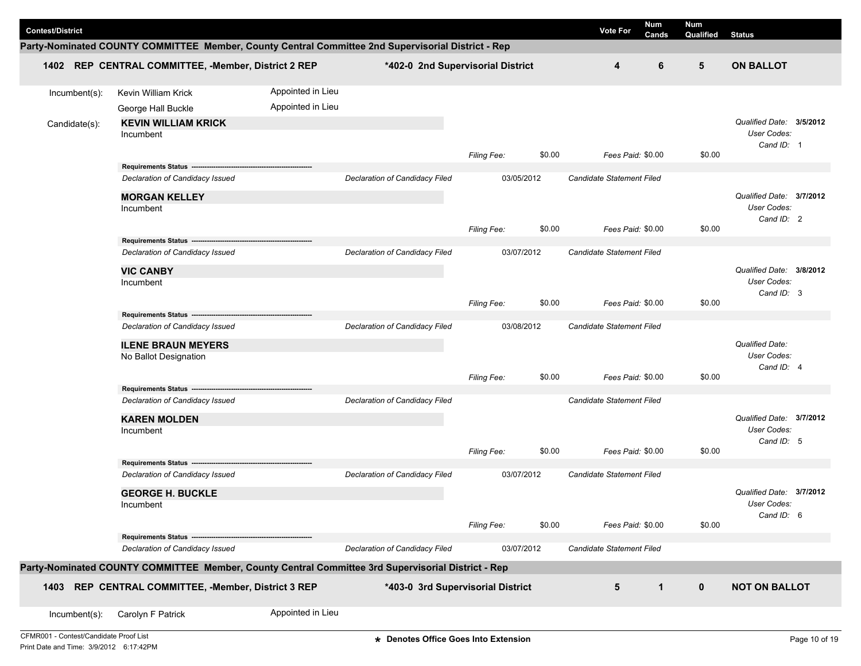| <b>Contest/District</b> |                                                                                                    |                   |                                   |                    |        | <b>Vote For</b>           | Num<br><b>Cands</b> | Num<br>Qualified | <b>Status</b>                           |  |
|-------------------------|----------------------------------------------------------------------------------------------------|-------------------|-----------------------------------|--------------------|--------|---------------------------|---------------------|------------------|-----------------------------------------|--|
|                         | Party-Nominated COUNTY COMMITTEE Member, County Central Committee 2nd Supervisorial District - Rep |                   |                                   |                    |        |                           |                     |                  |                                         |  |
|                         | 1402 REP CENTRAL COMMITTEE, -Member, District 2 REP                                                |                   | *402-0 2nd Supervisorial District |                    |        | 4                         | 6                   | 5                | <b>ON BALLOT</b>                        |  |
| Incumbent(s):           | Kevin William Krick                                                                                | Appointed in Lieu |                                   |                    |        |                           |                     |                  |                                         |  |
|                         | George Hall Buckle                                                                                 | Appointed in Lieu |                                   |                    |        |                           |                     |                  |                                         |  |
| Candidate(s):           | <b>KEVIN WILLIAM KRICK</b><br>Incumbent                                                            |                   |                                   |                    |        |                           |                     |                  | Qualified Date: 3/5/2012<br>User Codes: |  |
|                         |                                                                                                    |                   |                                   | Filing Fee:        | \$0.00 | Fees Paid: \$0.00         |                     | \$0.00           | Cand ID: 1                              |  |
|                         | Requirements Status ---------------------------                                                    |                   |                                   |                    |        |                           |                     |                  |                                         |  |
|                         | Declaration of Candidacy Issued                                                                    |                   | Declaration of Candidacy Filed    | 03/05/2012         |        | Candidate Statement Filed |                     |                  |                                         |  |
|                         | <b>MORGAN KELLEY</b>                                                                               |                   |                                   |                    |        |                           |                     |                  | Qualified Date: 3/7/2012                |  |
|                         | Incumbent                                                                                          |                   |                                   |                    |        |                           |                     |                  | User Codes:<br>Cand ID: 2               |  |
|                         |                                                                                                    |                   |                                   | <b>Filing Fee:</b> | \$0.00 | Fees Paid: \$0.00         |                     | \$0.00           |                                         |  |
|                         | Requirements Status ----------------------                                                         |                   |                                   |                    |        |                           |                     |                  |                                         |  |
|                         | Declaration of Candidacy Issued                                                                    |                   | Declaration of Candidacy Filed    | 03/07/2012         |        | Candidate Statement Filed |                     |                  |                                         |  |
|                         | <b>VIC CANBY</b>                                                                                   |                   |                                   |                    |        |                           |                     |                  | Qualified Date: 3/8/2012                |  |
|                         | Incumbent                                                                                          |                   |                                   |                    |        |                           |                     |                  | User Codes:<br>Cand ID: 3               |  |
|                         |                                                                                                    |                   |                                   | Filing Fee:        | \$0.00 | Fees Paid: \$0.00         |                     | \$0.00           |                                         |  |
|                         | Requirements Status --                                                                             |                   |                                   |                    |        |                           |                     |                  |                                         |  |
|                         | Declaration of Candidacy Issued                                                                    |                   | Declaration of Candidacy Filed    | 03/08/2012         |        | Candidate Statement Filed |                     |                  |                                         |  |
|                         | <b>ILENE BRAUN MEYERS</b>                                                                          |                   |                                   |                    |        |                           |                     |                  | Qualified Date:                         |  |
|                         | No Ballot Designation                                                                              |                   |                                   |                    |        |                           |                     |                  | User Codes:                             |  |
|                         |                                                                                                    |                   |                                   | <b>Filing Fee:</b> | \$0.00 | Fees Paid: \$0.00         |                     | \$0.00           | Cand ID: 4                              |  |
|                         | Requirements Status ------                                                                         |                   |                                   |                    |        |                           |                     |                  |                                         |  |
|                         | Declaration of Candidacy Issued                                                                    |                   | Declaration of Candidacy Filed    |                    |        | Candidate Statement Filed |                     |                  |                                         |  |
|                         | <b>KAREN MOLDEN</b>                                                                                |                   |                                   |                    |        |                           |                     |                  | Qualified Date: 3/7/2012                |  |
|                         | Incumbent                                                                                          |                   |                                   |                    |        |                           |                     |                  | User Codes:<br>Cand ID: 5               |  |
|                         |                                                                                                    |                   |                                   | Filing Fee:        | \$0.00 | Fees Paid: \$0.00         |                     | \$0.00           |                                         |  |
|                         | Requirements Status -----------------------                                                        |                   |                                   |                    |        |                           |                     |                  |                                         |  |
|                         | Declaration of Candidacy Issued                                                                    |                   | Declaration of Candidacy Filed    | 03/07/2012         |        | Candidate Statement Filed |                     |                  |                                         |  |
|                         | <b>GEORGE H. BUCKLE</b>                                                                            |                   |                                   |                    |        |                           |                     |                  | Qualified Date: 3/7/2012                |  |
|                         | Incumbent                                                                                          |                   |                                   |                    |        |                           |                     |                  | User Codes:                             |  |
|                         |                                                                                                    |                   |                                   | Filing Fee:        | \$0.00 | Fees Paid: \$0.00         |                     | \$0.00           | Cand ID: 6                              |  |
|                         | Requirements Status -                                                                              |                   |                                   |                    |        |                           |                     |                  |                                         |  |
|                         | Declaration of Candidacy Issued                                                                    |                   | Declaration of Candidacy Filed    | 03/07/2012         |        | Candidate Statement Filed |                     |                  |                                         |  |
|                         | Party-Nominated COUNTY COMMITTEE Member, County Central Committee 3rd Supervisorial District - Rep |                   |                                   |                    |        |                           |                     |                  |                                         |  |
| 1403                    | REP CENTRAL COMMITTEE, -Member, District 3 REP                                                     |                   | *403-0 3rd Supervisorial District |                    |        | 5                         | $\mathbf{1}$        | $\mathbf 0$      | <b>NOT ON BALLOT</b>                    |  |
| Incumbent(s):           | Carolyn F Patrick                                                                                  | Appointed in Lieu |                                   |                    |        |                           |                     |                  |                                         |  |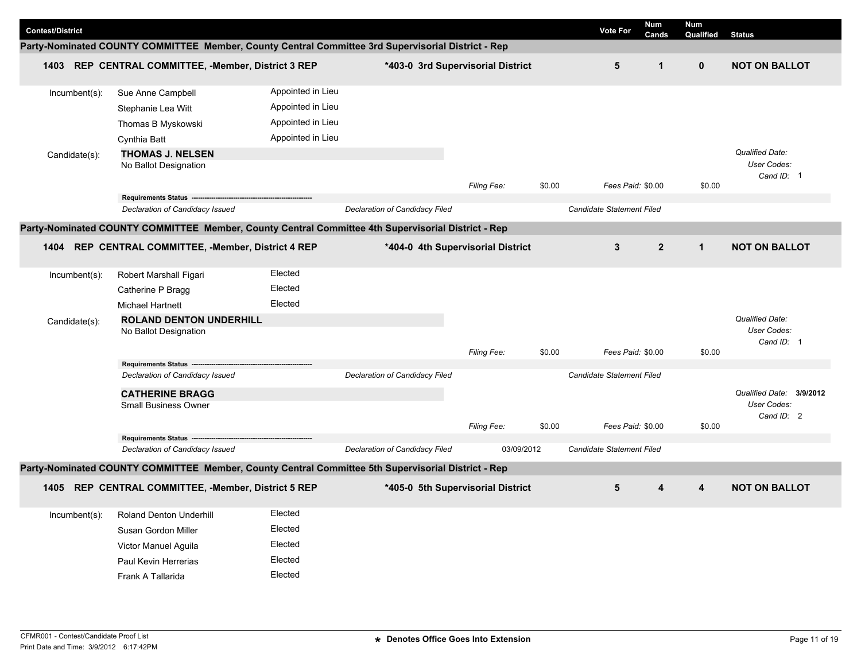|                         |                                                                                                    |                   |                                |                                   |        | <b>Num</b>                       |                | Num          |                                              |
|-------------------------|----------------------------------------------------------------------------------------------------|-------------------|--------------------------------|-----------------------------------|--------|----------------------------------|----------------|--------------|----------------------------------------------|
| <b>Contest/District</b> |                                                                                                    |                   |                                |                                   |        | <b>Vote For</b>                  | Cands          | Qualified    | <b>Status</b>                                |
|                         | Party-Nominated COUNTY COMMITTEE Member, County Central Committee 3rd Supervisorial District - Rep |                   |                                |                                   |        |                                  |                |              |                                              |
| 1403                    | REP CENTRAL COMMITTEE, -Member, District 3 REP                                                     |                   |                                | *403-0 3rd Supervisorial District |        | 5                                | $\mathbf{1}$   | $\mathbf 0$  | <b>NOT ON BALLOT</b>                         |
| $Incumbent(s)$ :        | Sue Anne Campbell                                                                                  | Appointed in Lieu |                                |                                   |        |                                  |                |              |                                              |
|                         | Stephanie Lea Witt                                                                                 | Appointed in Lieu |                                |                                   |        |                                  |                |              |                                              |
|                         | Thomas B Myskowski                                                                                 | Appointed in Lieu |                                |                                   |        |                                  |                |              |                                              |
|                         | Cynthia Batt                                                                                       | Appointed in Lieu |                                |                                   |        |                                  |                |              |                                              |
| Candidate(s):           | <b>THOMAS J. NELSEN</b><br>No Ballot Designation                                                   |                   |                                |                                   | \$0.00 | Fees Paid: \$0.00                |                | \$0.00       | Qualified Date:<br>User Codes:<br>Cand ID: 1 |
|                         |                                                                                                    |                   |                                | <b>Filing Fee:</b>                |        |                                  |                |              |                                              |
|                         | Declaration of Candidacy Issued                                                                    |                   | Declaration of Candidacy Filed |                                   |        | <b>Candidate Statement Filed</b> |                |              |                                              |
|                         | Party-Nominated COUNTY COMMITTEE Member, County Central Committee 4th Supervisorial District - Rep |                   |                                |                                   |        |                                  |                |              |                                              |
|                         | 1404 REP CENTRAL COMMITTEE, -Member, District 4 REP                                                |                   |                                | *404-0 4th Supervisorial District |        | $\mathbf{3}$                     | $\overline{2}$ | $\mathbf{1}$ | <b>NOT ON BALLOT</b>                         |
|                         |                                                                                                    |                   |                                |                                   |        |                                  |                |              |                                              |
| Incumbent(s):           | Robert Marshall Figari                                                                             | Elected           |                                |                                   |        |                                  |                |              |                                              |
|                         | Catherine P Bragg                                                                                  | Elected           |                                |                                   |        |                                  |                |              |                                              |
|                         | <b>Michael Hartnett</b>                                                                            | Elected           |                                |                                   |        |                                  |                |              |                                              |
| Candidate(s):           | <b>ROLAND DENTON UNDERHILL</b><br>No Ballot Designation                                            |                   |                                |                                   |        |                                  |                |              | Qualified Date:<br>User Codes:<br>Cand ID: 1 |
|                         |                                                                                                    |                   |                                | Filing Fee:                       | \$0.00 | Fees Paid: \$0.00                |                | \$0.00       |                                              |
|                         | Requirements Status -----------                                                                    |                   |                                |                                   |        |                                  |                |              |                                              |
|                         | Declaration of Candidacy Issued                                                                    |                   | Declaration of Candidacy Filed |                                   |        | <b>Candidate Statement Filed</b> |                |              |                                              |
|                         | <b>CATHERINE BRAGG</b>                                                                             |                   |                                |                                   |        |                                  |                |              | Qualified Date: 3/9/2012                     |
|                         | <b>Small Business Owner</b>                                                                        |                   |                                |                                   |        |                                  |                |              | User Codes:<br>Cand ID: 2                    |
|                         |                                                                                                    |                   |                                | <b>Filing Fee:</b>                | \$0.00 | Fees Paid: \$0.00                |                | \$0.00       |                                              |
|                         | <b>Requirements Status</b><br>Declaration of Candidacy Issued                                      |                   | Declaration of Candidacy Filed | 03/09/2012                        |        | Candidate Statement Filed        |                |              |                                              |
|                         |                                                                                                    |                   |                                |                                   |        |                                  |                |              |                                              |
|                         | Party-Nominated COUNTY COMMITTEE Member, County Central Committee 5th Supervisorial District - Rep |                   |                                |                                   |        |                                  |                |              |                                              |
| 1405                    | REP CENTRAL COMMITTEE, -Member, District 5 REP                                                     |                   |                                | *405-0 5th Supervisorial District |        | 5                                | 4              | 4            | <b>NOT ON BALLOT</b>                         |
| Incumbent(s):           | Roland Denton Underhill                                                                            | Elected           |                                |                                   |        |                                  |                |              |                                              |
|                         | Susan Gordon Miller                                                                                | Elected           |                                |                                   |        |                                  |                |              |                                              |
|                         | Victor Manuel Aguila                                                                               | Elected           |                                |                                   |        |                                  |                |              |                                              |
|                         | Paul Kevin Herrerias                                                                               | Elected           |                                |                                   |        |                                  |                |              |                                              |
|                         | Frank A Tallarida                                                                                  | Elected           |                                |                                   |        |                                  |                |              |                                              |
|                         |                                                                                                    |                   |                                |                                   |        |                                  |                |              |                                              |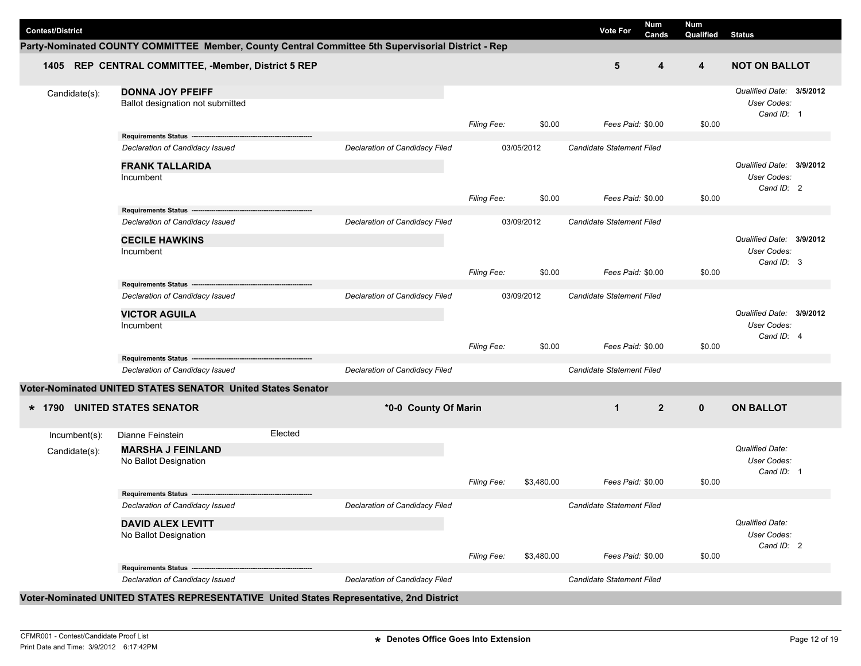| <b>Contest/District</b> |                                                                                                    |         |                                |                    |            | <b>Vote For</b>                  | Num<br>Cands   | <b>Num</b><br>Qualified | <b>Status</b>                                                |  |
|-------------------------|----------------------------------------------------------------------------------------------------|---------|--------------------------------|--------------------|------------|----------------------------------|----------------|-------------------------|--------------------------------------------------------------|--|
|                         | Party-Nominated COUNTY COMMITTEE Member, County Central Committee 5th Supervisorial District - Rep |         |                                |                    |            |                                  |                |                         |                                                              |  |
|                         | 1405 REP CENTRAL COMMITTEE, -Member, District 5 REP                                                |         |                                |                    |            | 5                                | 4              | $\overline{\mathbf{4}}$ | <b>NOT ON BALLOT</b>                                         |  |
| Candidate(s):           | <b>DONNA JOY PFEIFF</b><br>Ballot designation not submitted                                        |         |                                |                    |            |                                  |                |                         | Qualified Date: 3/5/2012<br><b>User Codes:</b><br>Cand ID: 1 |  |
|                         | Requirements Status ------------------------                                                       |         |                                | Filing Fee:        | \$0.00     | Fees Paid: \$0.00                |                | \$0.00                  |                                                              |  |
|                         | Declaration of Candidacy Issued                                                                    |         | Declaration of Candidacy Filed |                    | 03/05/2012 | Candidate Statement Filed        |                |                         |                                                              |  |
|                         | <b>FRANK TALLARIDA</b><br>Incumbent                                                                |         |                                |                    |            |                                  |                |                         | Qualified Date: 3/9/2012<br>User Codes:<br>Cand ID: 2        |  |
|                         |                                                                                                    |         |                                | <b>Filing Fee:</b> | \$0.00     | Fees Paid: \$0.00                |                | \$0.00                  |                                                              |  |
|                         | Requirements Status ------------------<br>Declaration of Candidacy Issued                          |         | Declaration of Candidacy Filed |                    | 03/09/2012 | Candidate Statement Filed        |                |                         |                                                              |  |
|                         | <b>CECILE HAWKINS</b><br>Incumbent                                                                 |         |                                |                    |            |                                  |                |                         | Qualified Date: 3/9/2012<br>User Codes:<br>Cand ID: 3        |  |
|                         |                                                                                                    |         |                                | Filing Fee:        | \$0.00     | Fees Paid: \$0.00                |                | \$0.00                  |                                                              |  |
|                         | Requirements Status ---<br>Declaration of Candidacy Issued                                         |         | Declaration of Candidacy Filed |                    | 03/09/2012 | <b>Candidate Statement Filed</b> |                |                         |                                                              |  |
|                         | <b>VICTOR AGUILA</b><br>Incumbent                                                                  |         |                                |                    |            |                                  |                |                         | Qualified Date: 3/9/2012<br><b>User Codes:</b><br>Cand ID: 4 |  |
|                         |                                                                                                    |         |                                | <b>Filing Fee:</b> | \$0.00     | Fees Paid: \$0.00                |                | \$0.00                  |                                                              |  |
|                         | Requirements Status ---------<br>Declaration of Candidacy Issued                                   |         | Declaration of Candidacy Filed |                    |            | Candidate Statement Filed        |                |                         |                                                              |  |
|                         | Voter-Nominated UNITED STATES SENATOR United States Senator                                        |         |                                |                    |            |                                  |                |                         |                                                              |  |
| $*$ 1790                | <b>UNITED STATES SENATOR</b>                                                                       |         | *0-0 County Of Marin           |                    |            | $\mathbf{1}$                     | $\overline{2}$ | $\mathbf{0}$            | <b>ON BALLOT</b>                                             |  |
| Incumbent(s):           | Dianne Feinstein                                                                                   | Elected |                                |                    |            |                                  |                |                         |                                                              |  |
| Candidate(s):           | <b>MARSHA J FEINLAND</b><br>No Ballot Designation                                                  |         |                                |                    |            |                                  |                |                         | <b>Qualified Date:</b><br>User Codes:<br>Cand ID: 1          |  |
|                         |                                                                                                    |         |                                | <b>Filing Fee:</b> | \$3,480.00 | Fees Paid: \$0.00                |                | \$0.00                  |                                                              |  |
|                         | Requirements Status ---<br>Declaration of Candidacy Issued                                         |         | Declaration of Candidacy Filed |                    |            | Candidate Statement Filed        |                |                         |                                                              |  |
|                         | <b>DAVID ALEX LEVITT</b><br>No Ballot Designation                                                  |         |                                | Filing Fee:        | \$3,480.00 | Fees Paid: \$0.00                |                | \$0.00                  | <b>Qualified Date:</b><br>User Codes:<br>Cand ID: 2          |  |
|                         | Requirements Status ------------                                                                   |         |                                |                    |            |                                  |                |                         |                                                              |  |
|                         | Declaration of Candidacy Issued                                                                    |         | Declaration of Candidacy Filed |                    |            | Candidate Statement Filed        |                |                         |                                                              |  |
|                         | Voter-Nominated UNITED STATES REPRESENTATIVE United States Representative, 2nd District            |         |                                |                    |            |                                  |                |                         |                                                              |  |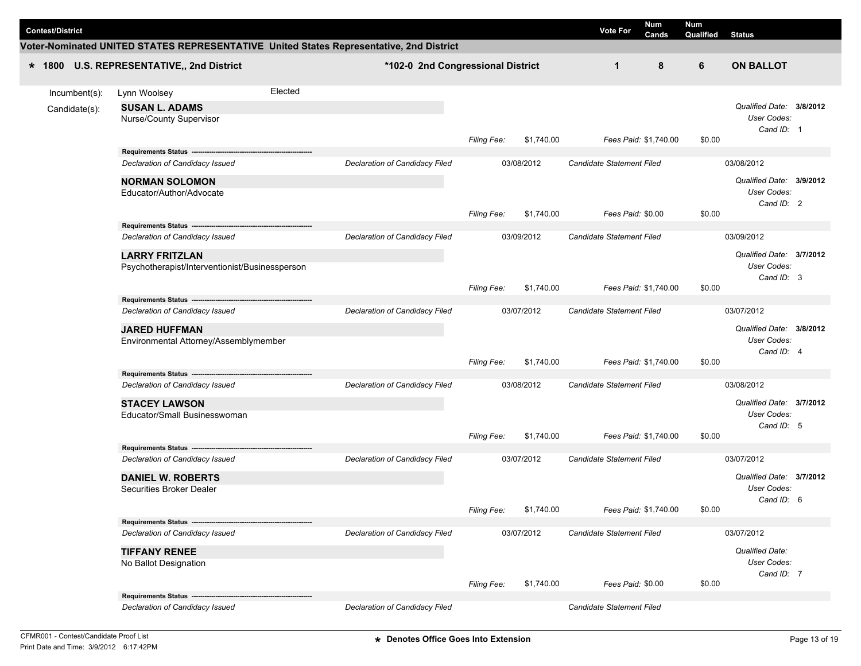| <b>Num</b><br>Num       |               |                                                                           |         |                                                                                         |                    |            |                           |       |           |                                                       |  |  |
|-------------------------|---------------|---------------------------------------------------------------------------|---------|-----------------------------------------------------------------------------------------|--------------------|------------|---------------------------|-------|-----------|-------------------------------------------------------|--|--|
| <b>Contest/District</b> |               |                                                                           |         |                                                                                         |                    |            | <b>Vote For</b>           | Cands | Qualified | <b>Status</b>                                         |  |  |
|                         |               |                                                                           |         | Voter-Nominated UNITED STATES REPRESENTATIVE United States Representative, 2nd District |                    |            |                           |       |           |                                                       |  |  |
| $* 1800$                |               | U.S. REPRESENTATIVE,, 2nd District                                        |         | *102-0 2nd Congressional District                                                       |                    |            | 1                         | 8     | 6         | <b>ON BALLOT</b>                                      |  |  |
|                         | Incumbent(s): | Lynn Woolsey                                                              | Elected |                                                                                         |                    |            |                           |       |           |                                                       |  |  |
|                         | Candidate(s): | <b>SUSAN L. ADAMS</b><br>Nurse/County Supervisor                          |         |                                                                                         | Filing Fee:        | \$1,740.00 | Fees Paid: \$1,740.00     |       | \$0.00    | Qualified Date: 3/8/2012<br>User Codes:<br>Cand ID: 1 |  |  |
|                         |               |                                                                           |         |                                                                                         |                    |            |                           |       |           |                                                       |  |  |
|                         |               | Declaration of Candidacy Issued                                           |         | Declaration of Candidacy Filed                                                          |                    | 03/08/2012 | Candidate Statement Filed |       |           | 03/08/2012                                            |  |  |
|                         |               | <b>NORMAN SOLOMON</b><br>Educator/Author/Advocate                         |         |                                                                                         | <b>Filing Fee:</b> | \$1,740.00 | Fees Paid: \$0.00         |       | \$0.00    | Qualified Date: 3/9/2012<br>User Codes:<br>Cand ID: 2 |  |  |
|                         |               | Requirements Status ---                                                   |         |                                                                                         |                    |            |                           |       |           |                                                       |  |  |
|                         |               | Declaration of Candidacy Issued                                           |         | Declaration of Candidacy Filed                                                          |                    | 03/09/2012 | Candidate Statement Filed |       |           | 03/09/2012                                            |  |  |
|                         |               | <b>LARRY FRITZLAN</b><br>Psychotherapist/Interventionist/Businessperson   |         |                                                                                         |                    |            |                           |       |           | Qualified Date: 3/7/2012<br>User Codes:<br>Cand ID: 3 |  |  |
|                         |               |                                                                           |         |                                                                                         | <b>Filing Fee:</b> | \$1,740.00 | Fees Paid: \$1,740.00     |       | \$0.00    |                                                       |  |  |
|                         |               | Requirements Status ------------------<br>Declaration of Candidacy Issued |         | Declaration of Candidacy Filed                                                          |                    | 03/07/2012 | Candidate Statement Filed |       |           | 03/07/2012                                            |  |  |
|                         |               | <b>JARED HUFFMAN</b><br>Environmental Attorney/Assemblymember             |         |                                                                                         | <b>Filing Fee:</b> | \$1,740.00 | Fees Paid: \$1,740.00     |       | \$0.00    | Qualified Date: 3/8/2012<br>User Codes:<br>Cand ID: 4 |  |  |
|                         |               |                                                                           |         |                                                                                         |                    |            |                           |       |           |                                                       |  |  |
|                         |               | Declaration of Candidacy Issued                                           |         | Declaration of Candidacy Filed                                                          |                    | 03/08/2012 | Candidate Statement Filed |       |           | 03/08/2012                                            |  |  |
|                         |               | <b>STACEY LAWSON</b><br>Educator/Small Businesswoman                      |         |                                                                                         |                    |            |                           |       |           | Qualified Date: 3/7/2012<br>User Codes:<br>Cand ID: 5 |  |  |
|                         |               | Requirements Status -----------------                                     |         |                                                                                         | <b>Filing Fee:</b> | \$1,740.00 | Fees Paid: \$1,740.00     |       | \$0.00    |                                                       |  |  |
|                         |               | Declaration of Candidacy Issued                                           |         | Declaration of Candidacy Filed                                                          |                    | 03/07/2012 | Candidate Statement Filed |       |           | 03/07/2012                                            |  |  |
|                         |               | <b>DANIEL W. ROBERTS</b><br>Securities Broker Dealer                      |         |                                                                                         |                    |            |                           |       |           | Qualified Date: 3/7/2012<br>User Codes:<br>Cand ID: 6 |  |  |
|                         |               |                                                                           |         |                                                                                         | Filing Fee:        | \$1,740.00 | Fees Paid: \$1,740.00     |       | \$0.00    |                                                       |  |  |
|                         |               | Declaration of Candidacy Issued                                           |         | Declaration of Candidacy Filed                                                          |                    | 03/07/2012 | Candidate Statement Filed |       |           | 03/07/2012                                            |  |  |
|                         |               | <b>TIFFANY RENEE</b><br>No Ballot Designation                             |         |                                                                                         |                    |            |                           |       |           | Qualified Date:<br>User Codes:<br>Cand ID: 7          |  |  |
|                         |               |                                                                           |         |                                                                                         | <b>Filing Fee:</b> | \$1,740.00 | Fees Paid: \$0.00         |       | \$0.00    |                                                       |  |  |
|                         |               | Requirements Status ------<br>Declaration of Candidacy Issued             |         | Declaration of Candidacy Filed                                                          |                    |            | Candidate Statement Filed |       |           |                                                       |  |  |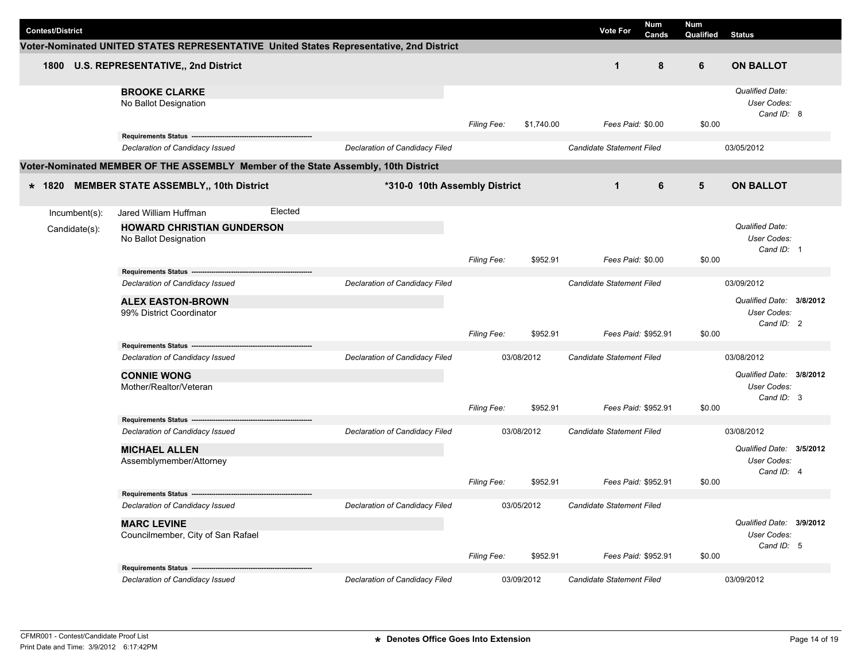| <b>Contest/District</b>        |                                                                                                |                                |                    |            | <b>Vote For</b>           | <b>Num</b><br>Cands | <b>Num</b><br>Qualified | <b>Status</b>                                         |  |
|--------------------------------|------------------------------------------------------------------------------------------------|--------------------------------|--------------------|------------|---------------------------|---------------------|-------------------------|-------------------------------------------------------|--|
|                                | Voter-Nominated UNITED STATES REPRESENTATIVE United States Representative, 2nd District        |                                |                    |            |                           |                     |                         |                                                       |  |
| 1800                           | U.S. REPRESENTATIVE,, 2nd District                                                             |                                |                    |            | $\mathbf 1$               | 8                   | 6                       | <b>ON BALLOT</b>                                      |  |
|                                | <b>BROOKE CLARKE</b><br>No Ballot Designation                                                  |                                | Filing Fee:        | \$1,740.00 | Fees Paid: \$0.00         |                     | \$0.00                  | <b>Qualified Date:</b><br>User Codes:<br>Cand ID: 8   |  |
|                                | Requirements Status -------<br>Declaration of Candidacy Issued                                 | Declaration of Candidacy Filed |                    |            | Candidate Statement Filed |                     |                         | 03/05/2012                                            |  |
|                                | Voter-Nominated MEMBER OF THE ASSEMBLY Member of the State Assembly, 10th District             |                                |                    |            |                           |                     |                         |                                                       |  |
|                                |                                                                                                |                                |                    |            |                           |                     |                         |                                                       |  |
| * 1820                         | <b>MEMBER STATE ASSEMBLY,, 10th District</b>                                                   | *310-0 10th Assembly District  |                    |            | $\mathbf 1$               | 6                   | 5                       | <b>ON BALLOT</b>                                      |  |
| Incumbent(s):<br>Candidate(s): | Elected<br>Jared William Huffman<br><b>HOWARD CHRISTIAN GUNDERSON</b><br>No Ballot Designation |                                | Filing Fee:        | \$952.91   | Fees Paid: \$0.00         |                     | \$0.00                  | <b>Qualified Date:</b><br>User Codes:<br>Cand ID: 1   |  |
|                                | Requirements Status ------                                                                     |                                |                    |            |                           |                     |                         |                                                       |  |
|                                | Declaration of Candidacy Issued                                                                | Declaration of Candidacy Filed |                    |            | Candidate Statement Filed |                     |                         | 03/09/2012                                            |  |
|                                | <b>ALEX EASTON-BROWN</b><br>99% District Coordinator                                           |                                |                    |            |                           |                     |                         | Qualified Date: 3/8/2012<br>User Codes:<br>Cand ID: 2 |  |
|                                |                                                                                                |                                | Filing Fee:        | \$952.91   | Fees Paid: \$952.91       |                     | \$0.00                  |                                                       |  |
|                                | Requirements Status ---------------<br>Declaration of Candidacy Issued                         | Declaration of Candidacy Filed |                    | 03/08/2012 | Candidate Statement Filed |                     |                         | 03/08/2012                                            |  |
|                                | <b>CONNIE WONG</b><br>Mother/Realtor/Veteran                                                   |                                | Filing Fee:        | \$952.91   | Fees Paid: \$952.91       |                     | \$0.00                  | Qualified Date: 3/8/2012<br>User Codes:<br>Cand ID: 3 |  |
|                                | <b>Requirements Status --</b>                                                                  |                                |                    |            |                           |                     |                         |                                                       |  |
|                                | Declaration of Candidacy Issued                                                                | Declaration of Candidacy Filed |                    | 03/08/2012 | Candidate Statement Filed |                     |                         | 03/08/2012                                            |  |
|                                | <b>MICHAEL ALLEN</b><br>Assemblymember/Attorney                                                |                                |                    |            |                           |                     |                         | Qualified Date: 3/5/2012<br>User Codes:<br>Cand ID: 4 |  |
|                                | Requirements Status ------                                                                     |                                | <b>Filing Fee:</b> | \$952.91   | Fees Paid: \$952.91       |                     | \$0.00                  |                                                       |  |
|                                | Declaration of Candidacy Issued                                                                | Declaration of Candidacy Filed |                    | 03/05/2012 | Candidate Statement Filed |                     |                         |                                                       |  |
|                                | <b>MARC LEVINE</b><br>Councilmember, City of San Rafael                                        |                                | Filing Fee:        | \$952.91   | Fees Paid: \$952.91       |                     | \$0.00                  | Qualified Date: 3/9/2012<br>User Codes:<br>Cand ID: 5 |  |
|                                | Requirements Status --------                                                                   |                                |                    |            |                           |                     |                         |                                                       |  |
|                                | Declaration of Candidacy Issued                                                                | Declaration of Candidacy Filed |                    | 03/09/2012 | Candidate Statement Filed |                     |                         | 03/09/2012                                            |  |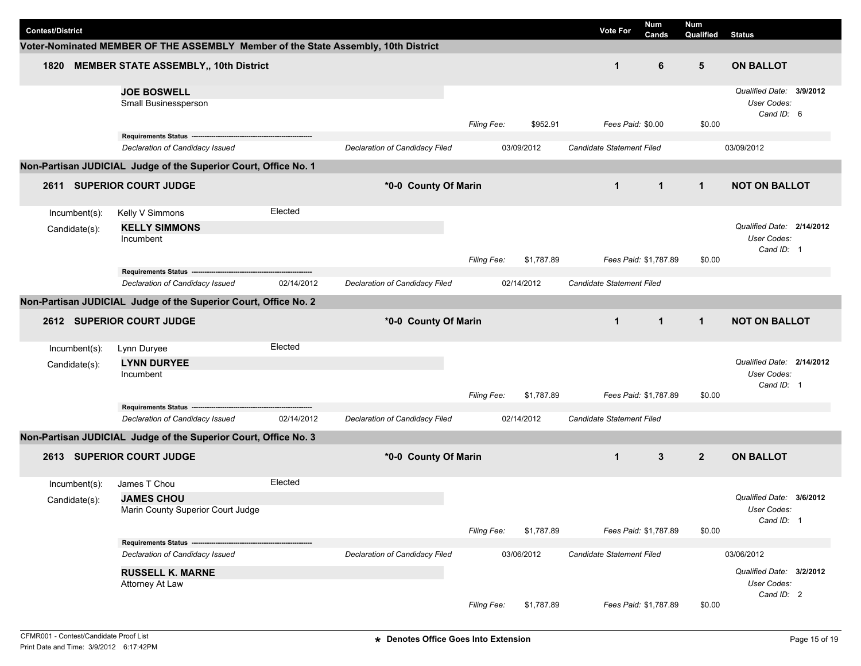|                         |                                                                                    |            |                                |                    |            |                           | <b>Num</b>                | <b>Num</b>               |                                                       |  |
|-------------------------|------------------------------------------------------------------------------------|------------|--------------------------------|--------------------|------------|---------------------------|---------------------------|--------------------------|-------------------------------------------------------|--|
| <b>Contest/District</b> |                                                                                    |            |                                |                    |            | <b>Vote For</b>           | Cands                     | Qualified                | <b>Status</b>                                         |  |
|                         | Voter-Nominated MEMBER OF THE ASSEMBLY Member of the State Assembly, 10th District |            |                                |                    |            |                           |                           |                          |                                                       |  |
| 1820                    | <b>MEMBER STATE ASSEMBLY,, 10th District</b>                                       |            |                                |                    |            | $\mathbf{1}$              | 6                         | $5\phantom{.0}$          | <b>ON BALLOT</b>                                      |  |
|                         | <b>JOE BOSWELL</b><br>Small Businessperson                                         |            |                                | <b>Filing Fee:</b> | \$952.91   | Fees Paid: \$0.00         |                           | \$0.00                   | Qualified Date: 3/9/2012<br>User Codes:<br>Cand ID: 6 |  |
|                         |                                                                                    |            |                                |                    |            |                           |                           |                          |                                                       |  |
|                         | Declaration of Candidacy Issued                                                    |            | Declaration of Candidacy Filed |                    | 03/09/2012 | Candidate Statement Filed |                           |                          | 03/09/2012                                            |  |
|                         | Non-Partisan JUDICIAL Judge of the Superior Court, Office No. 1                    |            |                                |                    |            |                           |                           |                          |                                                       |  |
| 2611                    | <b>SUPERIOR COURT JUDGE</b>                                                        |            | *0-0 County Of Marin           |                    |            | $\mathbf{1}$              | $\mathbf{1}$              | $\mathbf{1}$             | <b>NOT ON BALLOT</b>                                  |  |
| Incumbent(s):           | Kelly V Simmons                                                                    | Elected    |                                |                    |            |                           |                           |                          |                                                       |  |
| Candidate(s):           | <b>KELLY SIMMONS</b>                                                               |            |                                |                    |            |                           |                           |                          | Qualified Date: 2/14/2012                             |  |
|                         | Incumbent                                                                          |            |                                |                    |            |                           |                           |                          | <b>User Codes:</b>                                    |  |
|                         |                                                                                    |            |                                | <b>Filing Fee:</b> | \$1,787.89 | Fees Paid: \$1,787.89     |                           | \$0.00                   | Cand ID: 1                                            |  |
|                         | Requirements Status ------------------------                                       |            |                                |                    |            |                           |                           |                          |                                                       |  |
|                         | Declaration of Candidacy Issued                                                    | 02/14/2012 | Declaration of Candidacy Filed |                    | 02/14/2012 | Candidate Statement Filed |                           |                          |                                                       |  |
|                         | Non-Partisan JUDICIAL Judge of the Superior Court, Office No. 2                    |            |                                |                    |            |                           |                           |                          |                                                       |  |
|                         | 2612 SUPERIOR COURT JUDGE                                                          |            | *0-0 County Of Marin           |                    |            | $\mathbf{1}$              | $\mathbf{1}$              | $\mathbf{1}$             | <b>NOT ON BALLOT</b>                                  |  |
|                         |                                                                                    |            |                                |                    |            |                           |                           |                          |                                                       |  |
| Incumbent(s):           | Lynn Duryee                                                                        | Elected    |                                |                    |            |                           |                           |                          |                                                       |  |
| Candidate(s):           | <b>LYNN DURYEE</b>                                                                 |            |                                |                    |            |                           |                           |                          | Qualified Date: 2/14/2012                             |  |
|                         | Incumbent                                                                          |            |                                |                    |            |                           |                           | User Codes:              |                                                       |  |
|                         |                                                                                    |            |                                | <b>Filing Fee:</b> | \$1,787.89 | Fees Paid: \$1,787.89     |                           | \$0.00                   | Cand ID: 1                                            |  |
|                         |                                                                                    |            |                                |                    |            |                           |                           |                          |                                                       |  |
|                         | Declaration of Candidacy Issued                                                    | 02/14/2012 | Declaration of Candidacy Filed |                    | 02/14/2012 | Candidate Statement Filed |                           |                          |                                                       |  |
|                         | Non-Partisan JUDICIAL Judge of the Superior Court, Office No. 3                    |            |                                |                    |            |                           |                           |                          |                                                       |  |
| 2613                    | <b>SUPERIOR COURT JUDGE</b>                                                        |            | *0-0 County Of Marin           |                    |            | $\mathbf{1}$              | 3                         | $\overline{2}$           | <b>ON BALLOT</b>                                      |  |
| Incumbent(s):           | James T Chou                                                                       | Elected    |                                |                    |            |                           |                           |                          |                                                       |  |
| Candidate(s):           | <b>JAMES CHOU</b>                                                                  |            |                                |                    |            |                           |                           |                          | Qualified Date: 3/6/2012                              |  |
|                         | Marin County Superior Court Judge                                                  |            |                                |                    |            |                           |                           |                          | User Codes:                                           |  |
|                         |                                                                                    |            |                                | Filing Fee:        | \$1,787.89 | Fees Paid: \$1,787.89     |                           | \$0.00                   | Cand ID: 1                                            |  |
|                         | Requirements Status --                                                             |            |                                |                    |            |                           |                           |                          |                                                       |  |
|                         | Declaration of Candidacy Issued                                                    |            | Declaration of Candidacy Filed |                    | 03/06/2012 |                           | Candidate Statement Filed |                          |                                                       |  |
|                         | <b>RUSSELL K. MARNE</b>                                                            |            |                                |                    |            |                           |                           | Qualified Date: 3/2/2012 |                                                       |  |
|                         | Attorney At Law                                                                    |            |                                |                    |            |                           |                           | User Codes:              |                                                       |  |
|                         |                                                                                    |            |                                |                    |            |                           |                           |                          | Cand ID: 2                                            |  |
|                         |                                                                                    |            |                                | <b>Filing Fee:</b> | \$1,787.89 | Fees Paid: \$1,787.89     |                           | \$0.00                   |                                                       |  |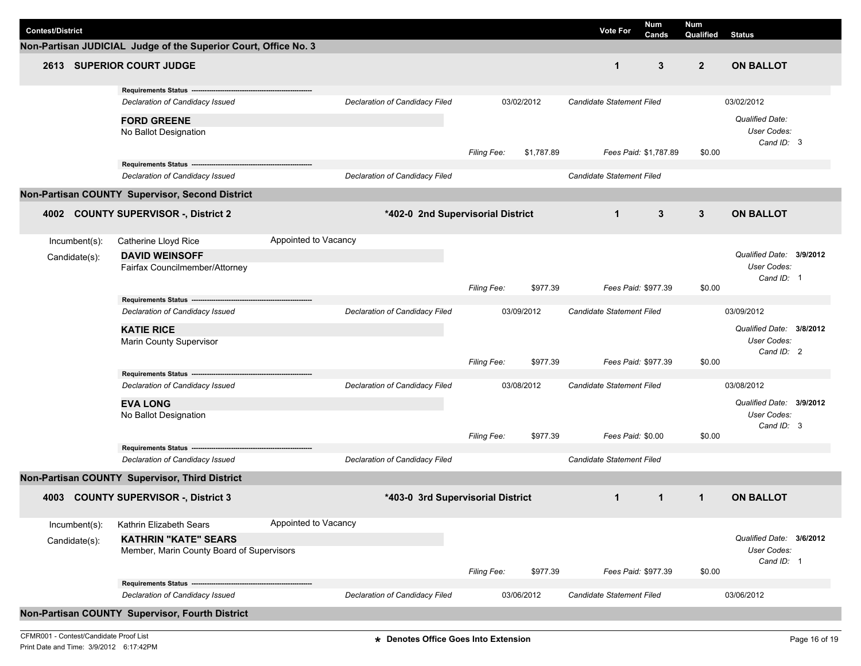| <b>Contest/District</b>                         |                                                                          |                      |                                   |                    |            | <b>Vote For</b>                  | <b>Num</b><br>Cands | <b>Num</b><br>Qualified | <b>Status</b>                                         |  |  |
|-------------------------------------------------|--------------------------------------------------------------------------|----------------------|-----------------------------------|--------------------|------------|----------------------------------|---------------------|-------------------------|-------------------------------------------------------|--|--|
|                                                 | Non-Partisan JUDICIAL Judge of the Superior Court, Office No. 3          |                      |                                   |                    |            |                                  |                     |                         |                                                       |  |  |
|                                                 | <b>2613 SUPERIOR COURT JUDGE</b>                                         |                      |                                   |                    |            | $\mathbf 1$                      | 3                   | $\overline{2}$          | <b>ON BALLOT</b>                                      |  |  |
|                                                 | Requirements Status ---<br>Declaration of Candidacy Issued               |                      | Declaration of Candidacy Filed    |                    | 03/02/2012 | <b>Candidate Statement Filed</b> |                     |                         | 03/02/2012                                            |  |  |
|                                                 | <b>FORD GREENE</b><br>No Ballot Designation                              |                      |                                   | <b>Filing Fee:</b> | \$1,787.89 | Fees Paid: \$1,787.89            |                     | \$0.00                  | <b>Qualified Date:</b><br>User Codes:<br>Cand ID: 3   |  |  |
|                                                 | Requirements Status ----------------------------------                   |                      |                                   |                    |            |                                  |                     |                         |                                                       |  |  |
|                                                 | Declaration of Candidacy Issued                                          |                      | Declaration of Candidacy Filed    |                    |            | <b>Candidate Statement Filed</b> |                     |                         |                                                       |  |  |
| Non-Partisan COUNTY Supervisor, Second District |                                                                          |                      |                                   |                    |            |                                  |                     |                         |                                                       |  |  |
| 4002                                            | <b>COUNTY SUPERVISOR -, District 2</b>                                   |                      | *402-0 2nd Supervisorial District |                    |            | $\mathbf{1}$                     | 3                   | $\mathbf{3}$            | <b>ON BALLOT</b>                                      |  |  |
| Incumbent(s):                                   | Catherine Lloyd Rice                                                     | Appointed to Vacancy |                                   |                    |            |                                  |                     |                         |                                                       |  |  |
| Candidate(s):                                   | <b>DAVID WEINSOFF</b><br>Fairfax Councilmember/Attorney                  |                      |                                   |                    |            |                                  |                     |                         | Qualified Date: 3/9/2012<br>User Codes:<br>Cand ID: 1 |  |  |
|                                                 |                                                                          |                      |                                   | <b>Filing Fee:</b> | \$977.39   |                                  | Fees Paid: \$977.39 | \$0.00                  |                                                       |  |  |
|                                                 | Requirements Status ---------------------                                |                      |                                   |                    |            |                                  |                     |                         |                                                       |  |  |
|                                                 | Declaration of Candidacy Issued                                          |                      | Declaration of Candidacy Filed    |                    | 03/09/2012 | Candidate Statement Filed        |                     | 03/09/2012              |                                                       |  |  |
|                                                 | <b>KATIE RICE</b><br><b>Marin County Supervisor</b>                      |                      |                                   |                    |            |                                  |                     |                         | Qualified Date: 3/8/2012<br>User Codes:               |  |  |
|                                                 |                                                                          |                      |                                   | <b>Filing Fee:</b> | \$977.39   |                                  | Fees Paid: \$977.39 | \$0.00                  | Cand ID: 2                                            |  |  |
|                                                 | Requirements Status ---                                                  |                      |                                   |                    |            |                                  |                     |                         |                                                       |  |  |
|                                                 | Declaration of Candidacy Issued                                          |                      | Declaration of Candidacy Filed    |                    | 03/08/2012 | <b>Candidate Statement Filed</b> |                     |                         | 03/08/2012                                            |  |  |
|                                                 | <b>EVA LONG</b><br>No Ballot Designation                                 |                      |                                   |                    |            |                                  |                     |                         | Qualified Date: 3/9/2012<br>User Codes:               |  |  |
|                                                 | Requirements Status --                                                   |                      |                                   | Filing Fee:        | \$977.39   | Fees Paid: \$0.00                |                     | \$0.00                  | Cand ID: 3                                            |  |  |
|                                                 | Declaration of Candidacy Issued                                          |                      | Declaration of Candidacy Filed    |                    |            | Candidate Statement Filed        |                     |                         |                                                       |  |  |
|                                                 | Non-Partisan COUNTY Supervisor, Third District                           |                      |                                   |                    |            |                                  |                     |                         |                                                       |  |  |
| 4003                                            | <b>COUNTY SUPERVISOR -, District 3</b>                                   |                      | *403-0 3rd Supervisorial District |                    |            | $\mathbf 1$                      | 1                   | 1                       | <b>ON BALLOT</b>                                      |  |  |
| Incumbent(s):                                   | Kathrin Elizabeth Sears                                                  | Appointed to Vacancy |                                   |                    |            |                                  |                     |                         |                                                       |  |  |
| Candidate(s):                                   | <b>KATHRIN "KATE" SEARS</b><br>Member, Marin County Board of Supervisors |                      |                                   |                    |            |                                  |                     |                         | Qualified Date: 3/6/2012<br>User Codes:<br>Cand ID: 1 |  |  |
|                                                 |                                                                          |                      |                                   | Filing Fee:        | \$977.39   |                                  | Fees Paid: \$977.39 | \$0.00                  |                                                       |  |  |
|                                                 | Declaration of Candidacy Issued                                          |                      | Declaration of Candidacy Filed    |                    | 03/06/2012 | Candidate Statement Filed        |                     |                         | 03/06/2012                                            |  |  |
|                                                 | Non-Partisan COUNTY Supervisor, Fourth District                          |                      |                                   |                    |            |                                  |                     |                         |                                                       |  |  |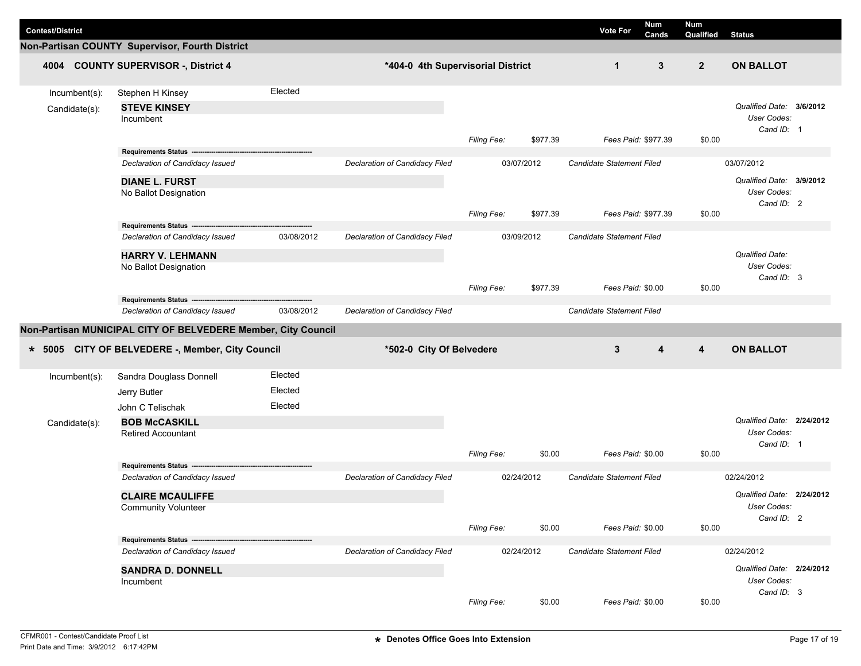|                         |                                                                         |            |                                   |                    |            |                                  | Num   | <b>Num</b>     |                                                        |  |
|-------------------------|-------------------------------------------------------------------------|------------|-----------------------------------|--------------------|------------|----------------------------------|-------|----------------|--------------------------------------------------------|--|
| <b>Contest/District</b> |                                                                         |            |                                   |                    |            | <b>Vote For</b>                  | Cands | Qualified      | <b>Status</b>                                          |  |
|                         | Non-Partisan COUNTY Supervisor, Fourth District                         |            |                                   |                    |            |                                  |       |                |                                                        |  |
|                         | 4004 COUNTY SUPERVISOR -, District 4                                    |            | *404-0 4th Supervisorial District |                    |            | $\mathbf{1}$                     | 3     | $\overline{2}$ | <b>ON BALLOT</b>                                       |  |
| Incumbent(s):           | Stephen H Kinsey                                                        | Elected    |                                   |                    |            |                                  |       |                |                                                        |  |
| Candidate(s):           | <b>STEVE KINSEY</b><br>Incumbent                                        |            |                                   | Filing Fee:        | \$977.39   | Fees Paid: \$977.39              |       | \$0.00         | Qualified Date: 3/6/2012<br>User Codes:<br>Cand ID: 1  |  |
|                         |                                                                         |            |                                   |                    |            |                                  |       |                |                                                        |  |
|                         | Declaration of Candidacy Issued                                         |            | Declaration of Candidacy Filed    |                    | 03/07/2012 | <b>Candidate Statement Filed</b> |       |                | 03/07/2012                                             |  |
|                         | <b>DIANE L. FURST</b><br>No Ballot Designation                          |            |                                   | Filing Fee:        | \$977.39   | Fees Paid: \$977.39              |       | \$0.00         | Qualified Date: 3/9/2012<br>User Codes:<br>Cand ID: 2  |  |
|                         | Requirements Status ------                                              |            |                                   |                    |            |                                  |       |                |                                                        |  |
|                         | Declaration of Candidacy Issued                                         | 03/08/2012 | Declaration of Candidacy Filed    |                    | 03/09/2012 | Candidate Statement Filed        |       |                | <b>Qualified Date:</b>                                 |  |
|                         | <b>HARRY V. LEHMANN</b><br>No Ballot Designation                        |            |                                   |                    |            |                                  |       |                | User Codes:<br>Cand ID: 3                              |  |
|                         |                                                                         |            |                                   | <b>Filing Fee:</b> | \$977.39   | Fees Paid: \$0.00                |       | \$0.00         |                                                        |  |
|                         | Requirements Status ---                                                 |            |                                   |                    |            |                                  |       |                |                                                        |  |
|                         | Declaration of Candidacy Issued                                         | 03/08/2012 | Declaration of Candidacy Filed    |                    |            | Candidate Statement Filed        |       |                |                                                        |  |
|                         | Non-Partisan MUNICIPAL CITY OF BELVEDERE Member, City Council           |            |                                   |                    |            |                                  |       |                |                                                        |  |
| $* 5005$                | CITY OF BELVEDERE -, Member, City Council                               |            | *502-0 City Of Belvedere          |                    |            | 3                                | 4     | 4              | <b>ON BALLOT</b>                                       |  |
| Incumbent(s):           | Sandra Douglass Donnell                                                 | Elected    |                                   |                    |            |                                  |       |                |                                                        |  |
|                         | Jerry Butler                                                            | Elected    |                                   |                    |            |                                  |       |                |                                                        |  |
|                         | John C Telischak                                                        | Elected    |                                   |                    |            |                                  |       |                |                                                        |  |
| Candidate(s):           | <b>BOB McCASKILL</b><br><b>Retired Accountant</b>                       |            |                                   |                    |            |                                  |       |                | Qualified Date: 2/24/2012<br>User Codes:<br>Cand ID: 1 |  |
|                         |                                                                         |            |                                   | <b>Filing Fee:</b> | \$0.00     | Fees Paid: \$0.00                |       | \$0.00         |                                                        |  |
|                         | <b>Requirements Status --</b>                                           |            |                                   |                    |            |                                  |       |                |                                                        |  |
|                         | Declaration of Candidacy Issued                                         |            | Declaration of Candidacy Filed    |                    | 02/24/2012 | <b>Candidate Statement Filed</b> |       |                | 02/24/2012                                             |  |
|                         | <b>CLAIRE MCAULIFFE</b><br><b>Community Volunteer</b>                   |            |                                   |                    |            |                                  |       |                | Qualified Date: 2/24/2012<br>User Codes:<br>Cand ID: 2 |  |
|                         |                                                                         |            |                                   | Filing Fee:        | \$0.00     | Fees Paid: \$0.00                |       | \$0.00         |                                                        |  |
|                         | Requirements Status ----------------<br>Declaration of Candidacy Issued |            | Declaration of Candidacy Filed    |                    | 02/24/2012 |                                  |       |                | 02/24/2012                                             |  |
|                         |                                                                         |            |                                   |                    |            | Candidate Statement Filed        |       |                |                                                        |  |
|                         | <b>SANDRA D. DONNELL</b>                                                |            |                                   |                    |            |                                  |       |                | Qualified Date: 2/24/2012<br>User Codes:               |  |
|                         | Incumbent                                                               |            |                                   |                    |            |                                  |       |                | Cand ID: 3                                             |  |
|                         |                                                                         |            |                                   | Filing Fee:        | \$0.00     | Fees Paid: \$0.00                |       | \$0.00         |                                                        |  |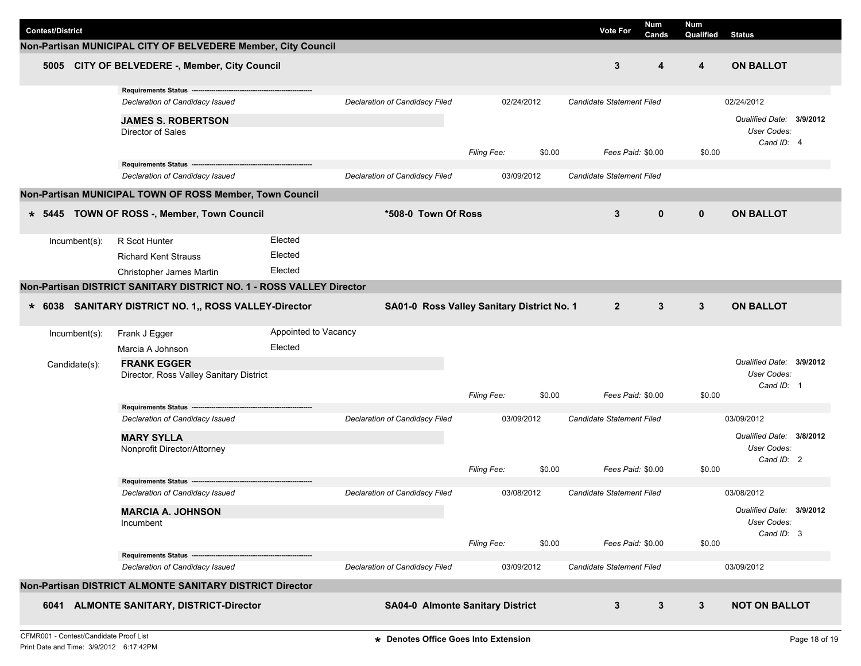| <b>Contest/District</b> |                                                                                         |                      |                                            |                    |        | <b>Vote For</b>                  | Num<br>Cands | Num<br>Qualified | <b>Status</b>                                         |  |
|-------------------------|-----------------------------------------------------------------------------------------|----------------------|--------------------------------------------|--------------------|--------|----------------------------------|--------------|------------------|-------------------------------------------------------|--|
|                         | Non-Partisan MUNICIPAL CITY OF BELVEDERE Member, City Council                           |                      |                                            |                    |        |                                  |              |                  |                                                       |  |
| 5005                    | CITY OF BELVEDERE -, Member, City Council                                               |                      |                                            |                    |        | 3                                | 4            | 4                | <b>ON BALLOT</b>                                      |  |
|                         | Requirements Status ---<br>Declaration of Candidacy Issued<br><b>JAMES S. ROBERTSON</b> |                      | Declaration of Candidacy Filed             | 02/24/2012         |        | <b>Candidate Statement Filed</b> |              |                  | 02/24/2012<br>Qualified Date: 3/9/2012                |  |
|                         | Director of Sales                                                                       |                      |                                            | Filing Fee:        | \$0.00 | Fees Paid: \$0.00                |              | \$0.00           | User Codes:<br>Cand ID: 4                             |  |
|                         | Requirements Status --<br>Declaration of Candidacy Issued                               |                      | Declaration of Candidacy Filed             | 03/09/2012         |        | Candidate Statement Filed        |              |                  |                                                       |  |
|                         | Non-Partisan MUNICIPAL TOWN OF ROSS Member, Town Council                                |                      |                                            |                    |        |                                  |              |                  |                                                       |  |
|                         |                                                                                         |                      |                                            |                    |        |                                  |              |                  |                                                       |  |
| $* 5445$                | TOWN OF ROSS -, Member, Town Council                                                    |                      | *508-0 Town Of Ross                        |                    |        | 3                                | $\mathbf{0}$ | $\mathbf{0}$     | <b>ON BALLOT</b>                                      |  |
| Incumbent(s):           | R Scot Hunter                                                                           | Elected              |                                            |                    |        |                                  |              |                  |                                                       |  |
|                         | <b>Richard Kent Strauss</b>                                                             | Elected              |                                            |                    |        |                                  |              |                  |                                                       |  |
|                         | Christopher James Martin                                                                | Elected              |                                            |                    |        |                                  |              |                  |                                                       |  |
|                         | Non-Partisan DISTRICT SANITARY DISTRICT NO. 1 - ROSS VALLEY Director                    |                      |                                            |                    |        |                                  |              |                  |                                                       |  |
|                         | * 6038 SANITARY DISTRICT NO. 1,, ROSS VALLEY-Director                                   |                      | SA01-0 Ross Valley Sanitary District No. 1 |                    |        | $\overline{2}$                   | 3            | 3                | <b>ON BALLOT</b>                                      |  |
| Incumbent(s):           | Frank J Egger                                                                           | Appointed to Vacancy |                                            |                    |        |                                  |              |                  |                                                       |  |
|                         | Marcia A Johnson                                                                        | Elected              |                                            |                    |        |                                  |              |                  |                                                       |  |
| Candidate(s):           | <b>FRANK EGGER</b><br>Director, Ross Valley Sanitary District                           |                      |                                            |                    |        |                                  |              |                  | Qualified Date: 3/9/2012<br>User Codes:<br>Cand ID: 1 |  |
|                         |                                                                                         |                      |                                            | Filing Fee:        | \$0.00 | Fees Paid: \$0.00                |              | \$0.00           |                                                       |  |
|                         | Requirements Status ---<br>Declaration of Candidacy Issued                              |                      | Declaration of Candidacy Filed             | 03/09/2012         |        | Candidate Statement Filed        |              |                  | 03/09/2012                                            |  |
|                         | <b>MARY SYLLA</b><br>Nonprofit Director/Attorney                                        |                      |                                            | <b>Filing Fee:</b> | \$0.00 | Fees Paid: \$0.00                |              | \$0.00           | Qualified Date: 3/8/2012<br>User Codes:<br>Cand ID: 2 |  |
|                         | <b>Requirements Status</b>                                                              |                      |                                            |                    |        |                                  |              |                  |                                                       |  |
|                         | Declaration of Candidacy Issued                                                         |                      | Declaration of Candidacy Filed             | 03/08/2012         |        | Candidate Statement Filed        |              |                  | 03/08/2012                                            |  |
|                         | <b>MARCIA A. JOHNSON</b><br>Incumbent                                                   |                      |                                            |                    |        |                                  |              |                  | Qualified Date: 3/9/2012<br>User Codes:<br>Cand ID: 3 |  |
|                         |                                                                                         |                      |                                            | Filing Fee:        | \$0.00 | Fees Paid: \$0.00                |              | \$0.00           |                                                       |  |
|                         | Requirements Status -------------------<br>Declaration of Candidacy Issued              |                      | Declaration of Candidacy Filed             | 03/09/2012         |        | Candidate Statement Filed        |              |                  | 03/09/2012                                            |  |
|                         | Non-Partisan DISTRICT ALMONTE SANITARY DISTRICT Director                                |                      |                                            |                    |        |                                  |              |                  |                                                       |  |
| 6041                    | <b>ALMONTE SANITARY, DISTRICT-Director</b>                                              |                      | <b>SA04-0 Almonte Sanitary District</b>    |                    |        | 3                                | 3            | 3                | <b>NOT ON BALLOT</b>                                  |  |